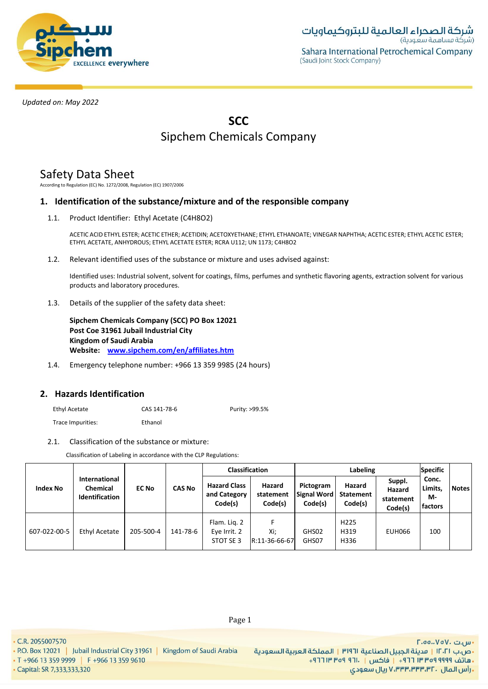

# **SCC** Sipchem Chemicals Company

# Safety Data Sheet

According to Regulation (EC) No. 1272/2008, Regulation (EC) 1907/2006

## **1. Identification of the substance/mixture and of the responsible company**

1.1. Product Identifier: Ethyl Acetate (C4H8O2)

ACETIC ACID ETHYL ESTER; ACETIC ETHER; ACETIDIN; ACETOXYETHANE; ETHYL ETHANOATE; VINEGAR NAPHTHA; ACETIC ESTER; ETHYL ACETIC ESTER; ETHYL ACETATE, ANHYDROUS; ETHYL ACETATE ESTER; RCRA U112; UN 1173; C4H8O2

1.2. Relevant identified uses of the substance or mixture and uses advised against:

Identified uses: Industrial solvent, solvent for coatings, films, perfumes and synthetic flavoring agents, extraction solvent for various products and laboratory procedures.

1.3. Details of the supplier of the safety data sheet:

**Sipchem Chemicals Company (SCC) PO Box 12021 Post Coe 31961 Jubail Industrial City Kingdom of Saudi Arabia Website: [www.sipchem.com/en/affiliates.htm](http://www.sipchem.com/en/affiliates.htm)**

1.4. Emergency telephone number: +966 13 359 9985 (24 hours)

## **2. Hazards Identification**

Ethyl Acetate CAS 141-78-6 Purity: >99.5% Trace Impurities: Ethanol

## 2.1. Classification of the substance or mixture:

Classification of Labeling in accordance with the CLP Regulations:

|                 |                                                           |              |               |                                                | Labeling<br><b>Classification</b> |                                     |                                       |                                          | <b>Specific</b>                   |              |
|-----------------|-----------------------------------------------------------|--------------|---------------|------------------------------------------------|-----------------------------------|-------------------------------------|---------------------------------------|------------------------------------------|-----------------------------------|--------------|
| <b>Index No</b> | International<br><b>Chemical</b><br><b>Identification</b> | <b>EC No</b> | <b>CAS No</b> | <b>Hazard Class</b><br>and Category<br>Code(s) | Hazard<br>statement<br>Code(s)    | Pictogram<br>Signal Word<br>Code(s) | Hazard<br><b>Statement</b><br>Code(s) | Suppl.<br>Hazard<br>statement<br>Code(s) | Conc.<br>Limits,<br>М-<br>factors | <b>Notes</b> |
| 607-022-00-5    | Ethyl Acetate                                             | 205-500-4    | 141-78-6      | Flam. Lig. 2<br>Eye Irrit. 2<br>STOT SE 3      | Xi:<br>R:11-36-66-67              | GHS02<br>GHS07                      | H <sub>225</sub><br>H319<br>H336      | EUH066                                   | 100                               |              |

• C.R. 2055007570

· Capital: SR 7,333,333,320

• T +966 13 359 9999 | F +966 13 359 9610

· س.ت .VoV، تس. •ص.ب ١٢٠٢١ | مدينة الجبيل الصناعية ٣١٩٦١ | المملكة العربية السعودية + هاتف ٩٩٩٩ ٩٩٩٩ ٣ ٣ ٣ ٢ ١ - إ فاكس | . ١٢١ ٩ص ٣ ١٣ ٢٦ + ريال سعودي, ۷٬۳۳۳٬۳۳۳٬۳۲۰ ريال سعودي

Page 1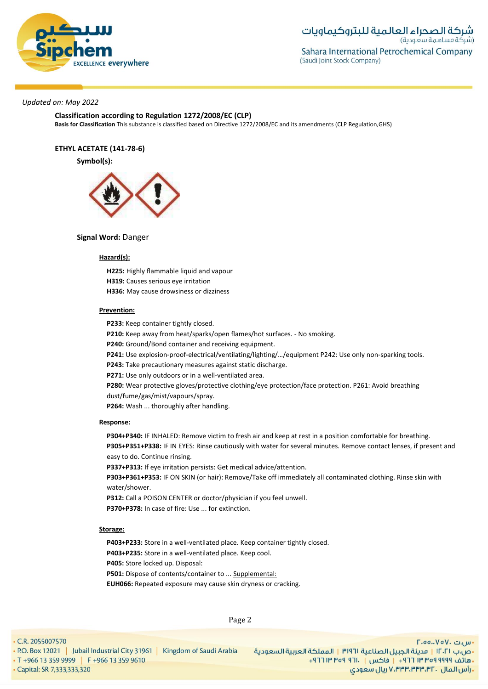

## **Classification according to Regulation 1272/2008/EC (CLP)**

**Basis for Classification** This substance is classified based on Directive 1272/2008/EC and its amendments (CLP Regulation,GHS)

**ETHYL ACETATE (141-78-6)**

**Symbol(s):**



### **Signal Word:** Danger

#### **Hazard(s):**

**H225:** Highly flammable liquid and vapour **H319:** Causes serious eye irritation **H336:** May cause drowsiness or dizziness

#### **Prevention:**

**P233:** Keep container tightly closed.

**P210:** Keep away from heat/sparks/open flames/hot surfaces. - No smoking.

**P240:** Ground/Bond container and receiving equipment.

**P241:** Use explosion-proof-electrical/ventilating/lighting/…/equipment P242: Use only non-sparking tools.

**P243:** Take precautionary measures against static discharge.

**P271:** Use only outdoors or in a well-ventilated area.

**P280:** Wear protective gloves/protective clothing/eye protection/face protection. P261: Avoid breathing dust/fume/gas/mist/vapours/spray.

**P264:** Wash ... thoroughly after handling.

#### **Response:**

**P304+P340:** IF INHALED: Remove victim to fresh air and keep at rest in a position comfortable for breathing. **P305+P351+P338:** IF IN EYES: Rinse cautiously with water for several minutes. Remove contact lenses, if present and easy to do. Continue rinsing.

**P337+P313:** If eye irritation persists: Get medical advice/attention.

**P303+P361+P353:** IF ON SKIN (or hair): Remove/Take off immediately all contaminated clothing. Rinse skin with water/shower.

**P312:** Call a POISON CENTER or doctor/physician if you feel unwell.

**P370+P378:** In case of fire: Use ... for extinction.

#### **Storage:**

. P.O. Box 12021 | Jubail Industrial City 31961 | Kingdom of Saudi Arabia

**P403+P233:** Store in a well-ventilated place. Keep container tightly closed. **P403+P235:** Store in a well-ventilated place. Keep cool.

**P405:** Store locked up. Disposal:

**P501:** Dispose of contents/container to ... Supplemental:

**EUH066:** Repeated exposure may cause skin dryness or cracking.

• C.R. 2055007570

Page 2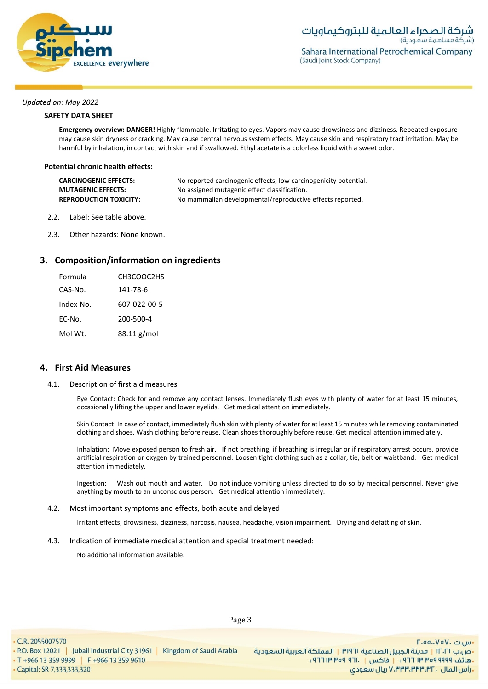

### **SAFETY DATA SHEET**

**Emergency overview: DANGER!** Highly flammable. Irritating to eyes. Vapors may cause drowsiness and dizziness. Repeated exposure may cause skin dryness or cracking. May cause central nervous system effects. May cause skin and respiratory tract irritation. May be harmful by inhalation, in contact with skin and if swallowed. Ethyl acetate is a colorless liquid with a sweet odor.

#### **Potential chronic health effects:**

| <b>CARCINOGENIC EFFECTS:</b>  | No reported carcinogenic effects; low carcinogenicity potential. |
|-------------------------------|------------------------------------------------------------------|
| <b>MUTAGENIC EFFECTS:</b>     | No assigned mutagenic effect classification.                     |
| <b>REPRODUCTION TOXICITY:</b> | No mammalian developmental/reproductive effects reported.        |

- 2.2. Label: See table above.
- 2.3. Other hazards: None known.

### **3. Composition/information on ingredients**

| Formula   | CH3COOC2H5   |
|-----------|--------------|
| CAS-No.   | 141-78-6     |
| Index-No. | 607-022-00-5 |
| EC-No.    | 200-500-4    |
| Mol Wt.   | 88.11 g/mol  |

#### **4. First Aid Measures**

4.1. Description of first aid measures

Eye Contact: Check for and remove any contact lenses. Immediately flush eyes with plenty of water for at least 15 minutes, occasionally lifting the upper and lower eyelids. Get medical attention immediately.

Skin Contact: In case of contact, immediately flush skin with plenty of water for at least 15 minutes while removing contaminated clothing and shoes. Wash clothing before reuse. Clean shoes thoroughly before reuse. Get medical attention immediately.

Inhalation: Move exposed person to fresh air. If not breathing, if breathing is irregular or if respiratory arrest occurs, provide artificial respiration or oxygen by trained personnel. Loosen tight clothing such as a collar, tie, belt or waistband. Get medical attention immediately.

Ingestion: Wash out mouth and water. Do not induce vomiting unless directed to do so by medical personnel. Never give anything by mouth to an unconscious person. Get medical attention immediately.

4.2. Most important symptoms and effects, both acute and delayed:

Irritant effects, drowsiness, dizziness, narcosis, nausea, headache, vision impairment. Drying and defatting of skin.

4.3. Indication of immediate medical attention and special treatment needed:

No additional information available.

. P.O. Box 12021 | Jubail Industrial City 31961 | Kingdom of Saudi Arabia

• Capital: SR 7,333,333,320

• T +966 13 359 9999 | F +966 13 359 9610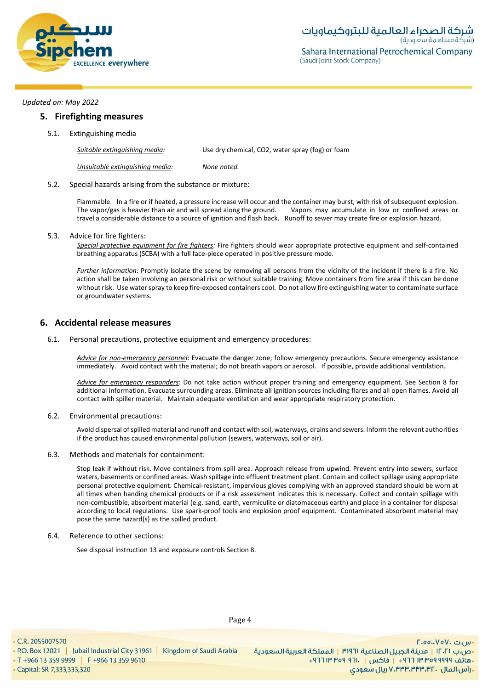

### **5. Firefighting measures**

5.1. Extinguishing media

| Suitable extinguishing media:   | Use dry chemical, CO2, water spray (fog) or foam |
|---------------------------------|--------------------------------------------------|
| Unsuitable extinguishing media: | None noted.                                      |

### 5.2. Special hazards arising from the substance or mixture:

Flammable. In a fire or if heated, a pressure increase will occur and the container may burst, with risk of subsequent explosion. The vapor/gas is heavier than air and will spread along the ground. Vapors may accumulate in low or confined areas or travel a considerable distance to a source of ignition and flash back. Runoff to sewer may create fire or explosion hazard.

#### 5.3. Advice for fire fighters:

*Special protective equipment for fire fighters:* Fire fighters should wear appropriate protective equipment and self-contained breathing apparatus (SCBA) with a full face-piece operated in positive pressure mode.

*Further information:* Promptly isolate the scene by removing all persons from the vicinity of the incident if there is a fire. No action shall be taken involving an personal risk or without suitable training. Move containers from fire area if this can be done without risk. Use water spray to keep fire-exposed containers cool. Do not allow fire extinguishing water to contaminate surface or groundwater systems.

## **6. Accidental release measures**

6.1. Personal precautions, protective equipment and emergency procedures:

*Advice for non-emergency personnel*: Evacuate the danger zone; follow emergency precautions. Secure emergency assistance immediately. Avoid contact with the material; do not breath vapors or aerosol. If possible, provide additional ventilation.

*Advice for emergency responders*: Do not take action without proper training and emergency equipment. See Section 8 for additional information. Evacuate surrounding areas. Eliminate all ignition sources including flares and all open flames. Avoid all contact with spiller material. Maintain adequate ventilation and wear appropriate respiratory protection.

### 6.2. Environmental precautions:

Avoid dispersal of spilled material and runoff and contact with soil, waterways, drains and sewers. Inform the relevant authorities if the product has caused environmental pollution (sewers, waterways, soil or air).

#### 6.3. Methods and materials for containment:

Stop leak if without risk. Move containers from spill area. Approach release from upwind. Prevent entry into sewers, surface waters, basements or confined areas. Wash spillage into effluent treatment plant. Contain and collect spillage using appropriate personal protective equipment. Chemical-resistant, impervious gloves complying with an approved standard should be worn at all times when handing chemical products or if a risk assessment indicates this is necessary. Collect and contain spillage with non-combustible, absorbent material (e.g. sand, earth, vermiculite or diatomaceous earth) and place in a container for disposal according to local regulations. Use spark-proof tools and explosion proof equipment. Contaminated absorbent material may pose the same hazard(s) as the spilled product.

#### 6.4. Reference to other sections:

See disposal instruction 13 and exposure controls Section 8.

• C.R. 2055007570

. P.O. Box 12021 | Jubail Industrial City 31961 | Kingdom of Saudi Arabia

• T +966 13 359 9999 | F +966 13 359 9610 - Capital: SR 7,333,333,320

Page 4

 $\Gamma$ .00.. $V$ o $V$ . سى ال •ص.ب ١٢٠٢١ | مدينة الجبيل الصناعية ٣١٩٦١ | المملكة العربية السعودية + هاتف ٩٩٩٩ ٩٥٩ ٣٣ ٣ ٦٦١ + إ فاكس | . ١٣ ٢٥٩ ٣ ١٣ ٢٦٢ . رأس المال . V،۳۳۳،۳۳۳،۳۲ ريال سعودي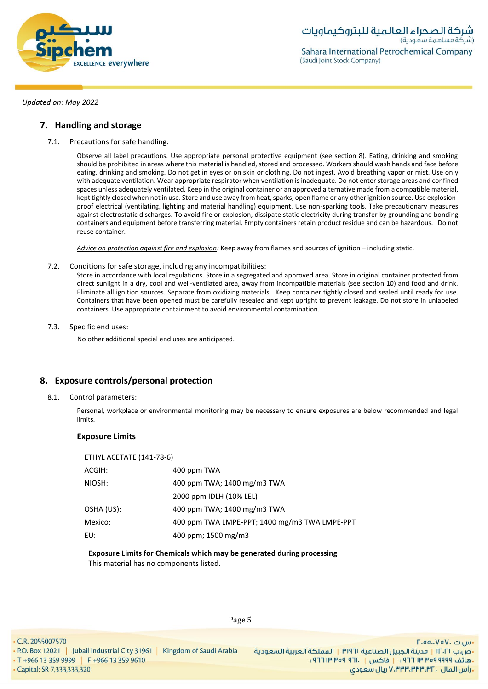

## **7. Handling and storage**

7.1. Precautions for safe handling:

Observe all label precautions. Use appropriate personal protective equipment (see section 8). Eating, drinking and smoking should be prohibited in areas where this material is handled, stored and processed. Workers should wash hands and face before eating, drinking and smoking. Do not get in eyes or on skin or clothing. Do not ingest. Avoid breathing vapor or mist. Use only with adequate ventilation. Wear appropriate respirator when ventilation is inadequate. Do not enter storage areas and confined spaces unless adequately ventilated. Keep in the original container or an approved alternative made from a compatible material, kept tightly closed when not in use. Store and use away from heat, sparks, open flame or any other ignition source. Use explosionproof electrical (ventilating, lighting and material handling) equipment. Use non-sparking tools. Take precautionary measures against electrostatic discharges. To avoid fire or explosion, dissipate static electricity during transfer by grounding and bonding containers and equipment before transferring material. Empty containers retain product residue and can be hazardous. Do not reuse container.

*Advice on protection against fire and explosion:* Keep away from flames and sources of ignition – including static.

7.2. Conditions for safe storage, including any incompatibilities:

Store in accordance with local regulations. Store in a segregated and approved area. Store in original container protected from direct sunlight in a dry, cool and well-ventilated area, away from incompatible materials (see section 10) and food and drink. Eliminate all ignition sources. Separate from oxidizing materials. Keep container tightly closed and sealed until ready for use. Containers that have been opened must be carefully resealed and kept upright to prevent leakage. Do not store in unlabeled containers. Use appropriate containment to avoid environmental contamination.

7.3. Specific end uses:

No other additional special end uses are anticipated.

## **8. Exposure controls/personal protection**

8.1. Control parameters:

Personal, workplace or environmental monitoring may be necessary to ensure exposures are below recommended and legal limits.

## **Exposure Limits**

| ETHYL ACETATE (141-78-6) |                                               |
|--------------------------|-----------------------------------------------|
| ACGIH:                   | 400 ppm TWA                                   |
| NIOSH:                   | 400 ppm TWA; 1400 mg/m3 TWA                   |
|                          | 2000 ppm IDLH (10% LEL)                       |
| OSHA (US):               | 400 ppm TWA; 1400 mg/m3 TWA                   |
| Mexico:                  | 400 ppm TWA LMPE-PPT; 1400 mg/m3 TWA LMPE-PPT |
| EU:                      | 400 ppm; 1500 mg/m3                           |
|                          |                                               |

## **Exposure Limits for Chemicals which may be generated during processing** This material has no components listed.

Page 5

• C.R. 2055007570

. P.O. Box 12021 | Jubail Industrial City 31961 | Kingdom of Saudi Arabia

• T +966 13 359 9999 | F +966 13 359 9610 • Capital: SR 7,333,333,320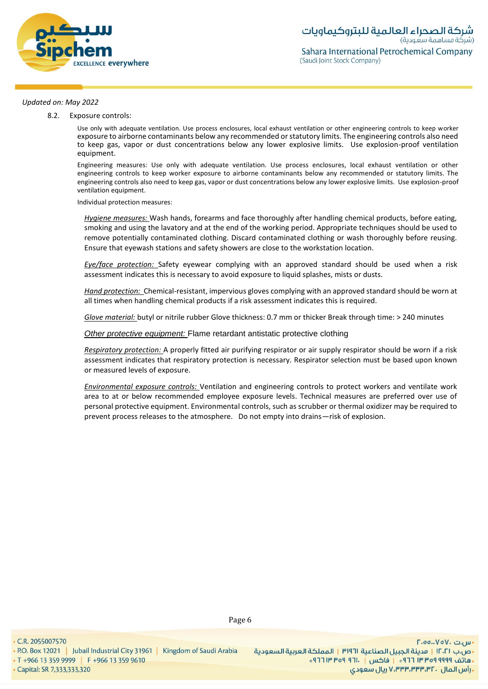

8.2. Exposure controls:

Use only with adequate ventilation. Use process enclosures, local exhaust ventilation or other engineering controls to keep worker exposure to airborne contaminants below any recommended or statutory limits. The engineering controls also need to keep gas, vapor or dust concentrations below any lower explosive limits. Use explosion-proof ventilation equipment.

Engineering measures: Use only with adequate ventilation. Use process enclosures, local exhaust ventilation or other engineering controls to keep worker exposure to airborne contaminants below any recommended or statutory limits. The engineering controls also need to keep gas, vapor or dust concentrations below any lower explosive limits. Use explosion-proof ventilation equipment.

Individual protection measures:

*Hygiene measures:* Wash hands, forearms and face thoroughly after handling chemical products, before eating, smoking and using the lavatory and at the end of the working period. Appropriate techniques should be used to remove potentially contaminated clothing. Discard contaminated clothing or wash thoroughly before reusing. Ensure that eyewash stations and safety showers are close to the workstation location*.*

*Eye/face protection:* Safety eyewear complying with an approved standard should be used when a risk assessment indicates this is necessary to avoid exposure to liquid splashes, mists or dusts.

*Hand protection:* Chemical-resistant, impervious gloves complying with an approved standard should be worn at all times when handling chemical products if a risk assessment indicates this is required.

*Glove material:* butyl or nitrile rubber Glove thickness: 0.7 mm or thicker Break through time: > 240 minutes

*Other protective equipment:* Flame retardant antistatic protective clothing

*Respiratory protection:* A properly fitted air purifying respirator or air supply respirator should be worn if a risk assessment indicates that respiratory protection is necessary. Respirator selection must be based upon known or measured levels of exposure.

*Environmental exposure controls:* Ventilation and engineering controls to protect workers and ventilate work area to at or below recommended employee exposure levels. Technical measures are preferred over use of personal protective equipment. Environmental controls, such as scrubber or thermal oxidizer may be required to prevent process releases to the atmosphere. Do not empty into drains—risk of explosion.

• Capital: SR 7,333,333,320

• T +966 13 359 9999 | F +966 13 359 9610

. P.O. Box 12021 | Jubail Industrial City 31961 | Kingdom of Saudi Arabia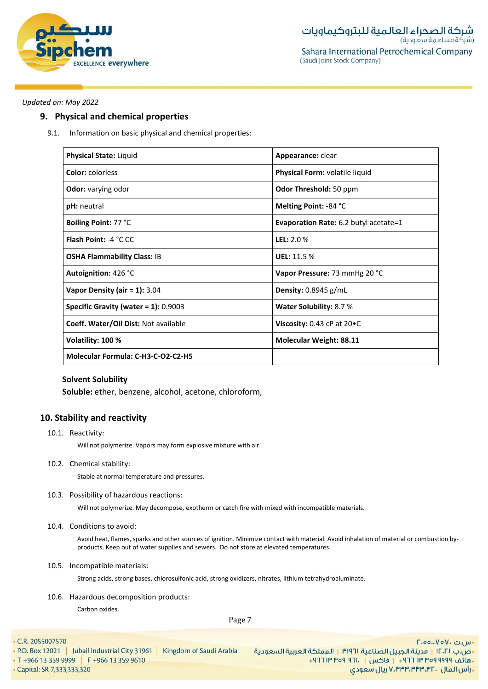

## **9. Physical and chemical properties**

9.1. Information on basic physical and chemical properties:

| <b>Physical State: Liquid</b>           | Appearance: clear                     |
|-----------------------------------------|---------------------------------------|
| <b>Color:</b> colorless                 | Physical Form: volatile liquid        |
| <b>Odor:</b> varying odor               | Odor Threshold: 50 ppm                |
| pH: neutral                             | Melting Point: -84 °C                 |
| Boiling Point: 77 °C                    | Evaporation Rate: 6.2 butyl acetate=1 |
| <b>Flash Point: -4 °C CC</b>            | <b>LEL: 2.0 %</b>                     |
| <b>OSHA Flammability Class: IB</b>      | <b>UEL: 11.5 %</b>                    |
| Autoignition: 426 °C                    | Vapor Pressure: 73 mmHg 20 °C         |
| Vapor Density (air = $1$ ): 3.04        | Density: $0.8945$ g/mL                |
| Specific Gravity (water = $1$ ): 0.9003 | <b>Water Solubility: 8.7 %</b>        |
| Coeff. Water/Oil Dist: Not available    | Viscosity: $0.43$ cP at $20 \cdot C$  |
| Volatility: 100 %                       | Molecular Weight: 88.11               |
| Molecular Formula: C-H3-C-O2-C2-H5      |                                       |

## **Solvent Solubility**

**Soluble:** ether, benzene, alcohol, acetone, chloroform,

## **10. Stability and reactivity**

10.1. Reactivity:

Will not polymerize. Vapors may form explosive mixture with air.

10.2. Chemical stability:

Stable at normal temperature and pressures.

10.3. Possibility of hazardous reactions:

Will not polymerize. May decompose, exotherm or catch fire with mixed with incompatible materials.

10.4. Conditions to avoid:

Avoid heat, flames, sparks and other sources of ignition. Minimize contact with material. Avoid inhalation of material or combustion byproducts. Keep out of water supplies and sewers. Do not store at elevated temperatures.

#### 10.5. Incompatible materials:

Strong acids, strong bases, chlorosulfonic acid, strong oxidizers, nitrates, lithium tetrahydroaluminate.

10.6. Hazardous decomposition products:

Carbon oxides.

Page 7

 $\cdot$  C.R. 2055007570

|                                               | • P.O. Box 12021   Jubail Industrial City 31961   Kingdom of Saudi Arabia | ية السعودية |
|-----------------------------------------------|---------------------------------------------------------------------------|-------------|
| $\cdot$ T +966 13 359 9999 F +966 13 359 9610 |                                                                           |             |
| • Capital: SR 7,333,333,320                   |                                                                           |             |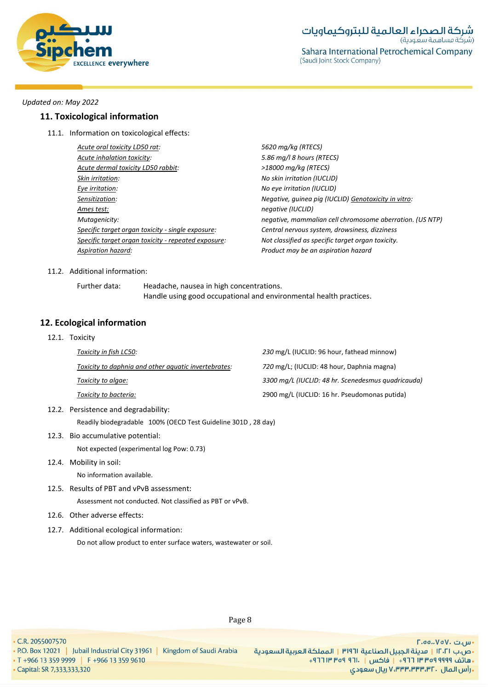

## **11. Toxicological information**

11.1. Information on toxicological effects:

| Acute oral toxicity LD50 rat:                       |
|-----------------------------------------------------|
| Acute inhalation toxicity:                          |
| Acute dermal toxicity LD50 rabbit:                  |
| Skin irritation:                                    |
| Eye irritation:                                     |
| Sensitization:                                      |
| Ames test:                                          |
| Mutagenicity:                                       |
| Specific target organ toxicity - single exposure:   |
| Specific target organ toxicity - repeated exposure: |
| Aspiration hazard:                                  |
|                                                     |

*Acute oral toxicity LD50 rat: 5620 mg/kg (RTECS)* 5.86 mg/l 8 hours (RTECS) *Acute dermal toxicity LD50 rabbit: >18000 mg/kg (RTECS) Skin irritation: No skin irritation (IUCLID) Eye irritation: No eye irritation (IUCLID) Sensitization: Negative, guinea pig (IUCLID) Genotoxicity in vitro: Ames test: negative (IUCLID) Mutagenicity: negative, mammalian cell chromosome aberration. (US NTP) Specific target organ toxicity - single exposure: Central nervous system, drowsiness, dizziness Specific target organ toxicity - repeated exposure: Not classified as specific target organ toxicity. Aspiration hazard: Product may be an aspiration hazard*

### 11.2. Additional information:

Further data: Headache, nausea in high concentrations. Handle using good occupational and environmental health practices.

## **12. Ecological information**

12.1. Toxicity

| Toxicity in fish LC50:                               | 230 mg/L (IUCLID: 96 hour, fathead minnow)         |
|------------------------------------------------------|----------------------------------------------------|
| Toxicity to daphnia and other aquatic invertebrates: | 720 mg/L; (IUCLID: 48 hour, Daphnia magna)         |
| Toxicity to algae:                                   | 3300 mg/L (IUCLID: 48 hr. Scenedesmus quadricauda) |
| Toxicity to bacteria:                                | 2900 mg/L (IUCLID: 16 hr. Pseudomonas putida)      |

- 12.2. Persistence and degradability: Readily biodegradable 100% (OECD Test Guideline 301D , 28 day)
- 12.3. Bio accumulative potential:

Not expected (experimental log Pow: 0.73)

12.4. Mobility in soil:

No information available.

12.5. Results of PBT and vPvB assessment:

Assessment not conducted. Not classified as PBT or vPvB.

- 12.6. Other adverse effects:
- 12.7. Additional ecological information: Do not allow product to enter surface waters, wastewater or soil.

Page 8

- C.R. 2055007570
- . P.O. Box 12021 | Jubail Industrial City 31961 | Kingdom of Saudi Arabia
- T +966 13 359 9999 | F +966 13 359 9610

· Capital: SR 7,333,333,320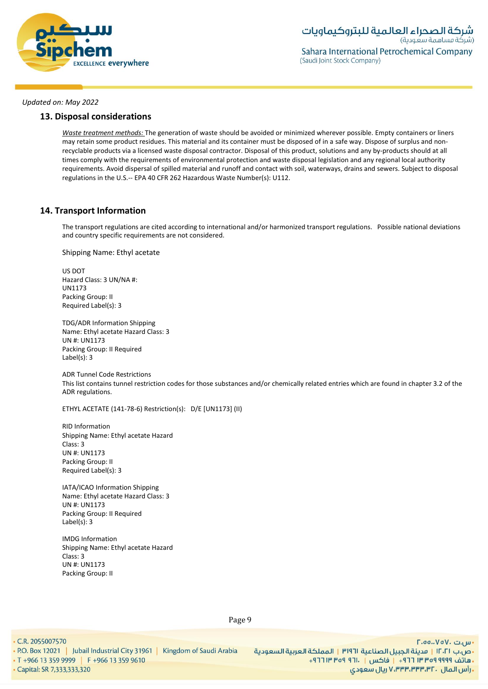

## **13. Disposal considerations**

*Waste treatment methods:* The generation of waste should be avoided or minimized wherever possible. Empty containers or liners may retain some product residues. This material and its container must be disposed of in a safe way. Dispose of surplus and nonrecyclable products via a licensed waste disposal contractor. Disposal of this product, solutions and any by-products should at all times comply with the requirements of environmental protection and waste disposal legislation and any regional local authority requirements. Avoid dispersal of spilled material and runoff and contact with soil, waterways, drains and sewers. Subject to disposal regulations in the U.S.-- EPA 40 CFR 262 Hazardous Waste Number(s): U112.

## **14. Transport Information**

The transport regulations are cited according to international and/or harmonized transport regulations. Possible national deviations and country specific requirements are not considered.

Shipping Name: Ethyl acetate

US DOT Hazard Class: 3 UN/NA #: UN1173 Packing Group: II Required Label(s): 3

TDG/ADR Information Shipping Name: Ethyl acetate Hazard Class: 3 UN #: UN1173 Packing Group: II Required Label(s): 3

ADR Tunnel Code Restrictions This list contains tunnel restriction codes for those substances and/or chemically related entries which are found in chapter 3.2 of the ADR regulations.

ETHYL ACETATE (141-78-6) Restriction(s): D/E [UN1173] (II)

RID Information Shipping Name: Ethyl acetate Hazard Class: 3 UN #: UN1173 Packing Group: II Required Label(s): 3

IATA/ICAO Information Shipping Name: Ethyl acetate Hazard Class: 3 UN #: UN1173 Packing Group: II Required Label(s): 3

IMDG Information Shipping Name: Ethyl acetate Hazard Class: 3 UN #: UN1173 Packing Group: II

• C.R. 2055007570

• Capital: SR 7,333,333,320

Page 9

. P.O. Box 12021 | Jubail Industrial City 31961 | Kingdom of Saudi Arabia • T +966 13 359 9999 | F +966 13 359 9610

 $\Gamma$ .00.. $V$ o $V$ . سى ال •ص.ب ١٢٠٢١ | مدينة الجبيل الصناعية ٣١٩٦١ | المملكة العربية السعودية + هاتف ٩٩٩٩ ٩٩٩٩ ٣ ٣ ٣ ٢ ١ - إ فاكس | . ١٢١ ٩ص ٣ ١٣ ٢٦ + ريال سعودي, ۷٬۳۳۳٬۳۳۳٬۳۲۰ ريال سعودي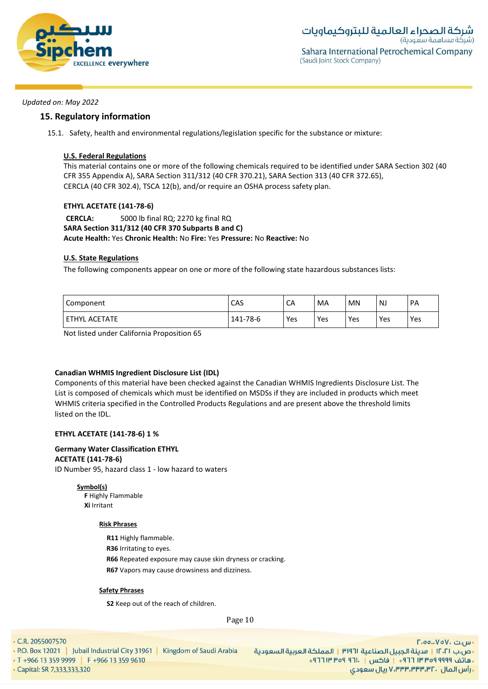

## **15. Regulatory information**

15.1. Safety, health and environmental regulations/legislation specific for the substance or mixture:

## **U.S. Federal Regulations**

This material contains one or more of the following chemicals required to be identified under SARA Section 302 (40 CFR 355 Appendix A), SARA Section 311/312 (40 CFR 370.21), SARA Section 313 (40 CFR 372.65), CERCLA (40 CFR 302.4), TSCA 12(b), and/or require an OSHA process safety plan.

## **ETHYL ACETATE (141-78-6)**

**CERCLA:** 5000 lb final RQ; 2270 kg final RQ **SARA Section 311/312 (40 CFR 370 Subparts B and C) Acute Health:** Yes **Chronic Health:** No **Fire:** Yes **Pressure:** No **Reactive:** No

## **U.S. State Regulations**

The following components appear on one or more of the following state hazardous substances lists:

| Component                      | CAS      | CA  | MA  | MN  | <b>NJ</b> | PA  |
|--------------------------------|----------|-----|-----|-----|-----------|-----|
| <b>ETHYL</b><br><b>ACETATE</b> | 141-78-6 | Yes | Yes | Yes | Yes       | Yes |

Not listed under California Proposition 65

## **Canadian WHMIS Ingredient Disclosure List (IDL)**

Components of this material have been checked against the Canadian WHMIS Ingredients Disclosure List. The List is composed of chemicals which must be identified on MSDSs if they are included in products which meet WHMIS criteria specified in the Controlled Products Regulations and are present above the threshold limits listed on the IDL.

## **ETHYL ACETATE (141-78-6) 1 %**

## **Germany Water Classification ETHYL**

## **ACETATE (141-78-6)**

ID Number 95, hazard class 1 - low hazard to waters

**Symbol(s)**

**F** Highly Flammable **Xi** Irritant

## **Risk Phrases**

**R11** Highly flammable.

**R36** Irritating to eyes.

**R66** Repeated exposure may cause skin dryness or cracking.

**R67** Vapors may cause drowsiness and dizziness.

## **Safety Phrases**

**S2** Keep out of the reach of children.

Page 10

• C.R. 2055007570

. P.O. Box 12021 | Jubail Industrial City 31961 | Kingdom of Saudi Arabia • T +966 13 359 9999 | F +966 13 359 9610

• Capital: SR 7,333,333,320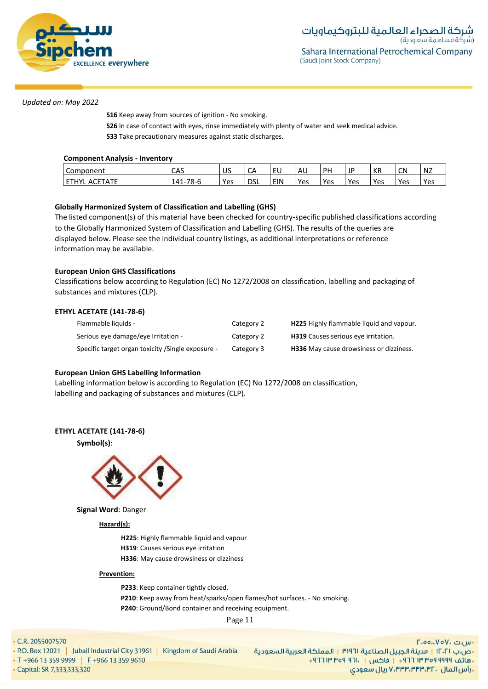

**S16** Keep away from sources of ignition - No smoking.

**S26** In case of contact with eyes, rinse immediately with plenty of water and seek medical advice.

**S33** Take precautionary measures against static discharges.

## **Component Analysis - Inventory**

| ∽<br>Component                    | ی م<br>САЭ                             | $^{\circ}$ 1 $\sim$<br>UJ | $\sim$<br>ີ | ັ∟ບ        | AU  | <b>DH</b> | JP  | KR  | CN  | . . –<br>NZ |
|-----------------------------------|----------------------------------------|---------------------------|-------------|------------|-----|-----------|-----|-----|-----|-------------|
| CFTATC<br>uv.<br>AΙ<br>. .<br>E I | -78-6<br>41 ا<br>$\overline{ }$<br>ᆠᅮᆦ | Yes                       | <b>DSL</b>  | <b>EIN</b> | Yes | Yes       | Yes | Yes | Yes | Yes         |

## **Globally Harmonized System of Classification and Labelling (GHS)**

The listed component(s) of this material have been checked for country-specific published classifications according to the Globally Harmonized System of Classification and Labelling (GHS). The results of the queries are displayed below. Please see the individual country listings, as additional interpretations or reference information may be available.

## **European Union GHS Classifications**

Classifications below according to Regulation (EC) No 1272/2008 on classification, labelling and packaging of substances and mixtures (CLP).

## **ETHYL ACETATE (141-78-6)**

| Flammable liquids -                                | Category 2 | <b>H225</b> Highly flammable liquid and vapour. |
|----------------------------------------------------|------------|-------------------------------------------------|
| Serious eye damage/eye Irritation -                | Category 2 | <b>H319</b> Causes serious eye irritation.      |
| Specific target organ toxicity / Single exposure - | Category 3 | <b>H336</b> May cause drowsiness or dizziness.  |

## **European Union GHS Labelling Information**

Labelling information below is according to Regulation (EC) No 1272/2008 on classification, labelling and packaging of substances and mixtures (CLP).

## **ETHYL ACETATE (141-78-6)**





**Signal Word**: Danger

## **Hazard(s):**

**H225**: Highly flammable liquid and vapour

- **H319**: Causes serious eye irritation
- **H336**: May cause drowsiness or dizziness

#### **Prevention:**

**P233**: Keep container tightly closed. **P210**: Keep away from heat/sparks/open flames/hot surfaces. - No smoking. **P240**: Ground/Bond container and receiving equipment.

Page 11

• C.R. 2055007570

. P.O. Box 12021 | Jubail Industrial City 31961 | Kingdom of Saudi Arabia • T +966 13 359 9999 | F +966 13 359 9610

• Capital: SR 7,333,333,320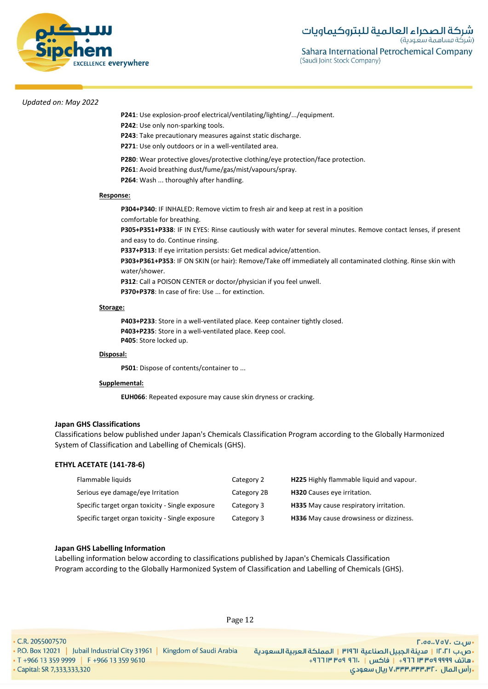

- **P241**: Use explosion-proof electrical/ventilating/lighting/.../equipment.
- **P242**: Use only non-sparking tools.
- **P243**: Take precautionary measures against static discharge.
- **P271**: Use only outdoors or in a well-ventilated area.
- **P280**: Wear protective gloves/protective clothing/eye protection/face protection.
- **P261**: Avoid breathing dust/fume/gas/mist/vapours/spray.
- **P264**: Wash ... thoroughly after handling.

#### **Response:**

**P304+P340**: IF INHALED: Remove victim to fresh air and keep at rest in a position comfortable for breathing. **P305+P351+P338**: IF IN EYES: Rinse cautiously with water for several minutes. Remove contact lenses, if present and easy to do. Continue rinsing.

**P337+P313**: If eye irritation persists: Get medical advice/attention.

**P303+P361+P353**: IF ON SKIN (or hair): Remove/Take off immediately all contaminated clothing. Rinse skin with water/shower.

**P312**: Call a POISON CENTER or doctor/physician if you feel unwell.

**P370+P378**: In case of fire: Use ... for extinction.

#### **Storage:**

**P403+P233**: Store in a well-ventilated place. Keep container tightly closed. **P403+P235**: Store in a well-ventilated place. Keep cool. **P405**: Store locked up.

#### **Disposal:**

**P501**: Dispose of contents/container to ...

#### **Supplemental:**

**EUH066**: Repeated exposure may cause skin dryness or cracking.

#### **Japan GHS Classifications**

Classifications below published under Japan's Chemicals Classification Program according to the Globally Harmonized System of Classification and Labelling of Chemicals (GHS).

### **ETHYL ACETATE (141-78-6)**

| Flammable liquids                                | Category 2  | H225 Highly flammable liquid and vapour. |
|--------------------------------------------------|-------------|------------------------------------------|
| Serious eye damage/eye Irritation                | Category 2B | <b>H320</b> Causes eye irritation.       |
| Specific target organ toxicity - Single exposure | Category 3  | H335 May cause respiratory irritation.   |
| Specific target organ toxicity - Single exposure | Category 3  | H336 May cause drowsiness or dizziness.  |

#### **Japan GHS Labelling Information**

Labelling information below according to classifications published by Japan's Chemicals Classification Program according to the Globally Harmonized System of Classification and Labelling of Chemicals (GHS).

Page 12

. P.O. Box 12021 | Jubail Industrial City 31961 | Kingdom of Saudi Arabia • T +966 13 359 9999 | F +966 13 359 9610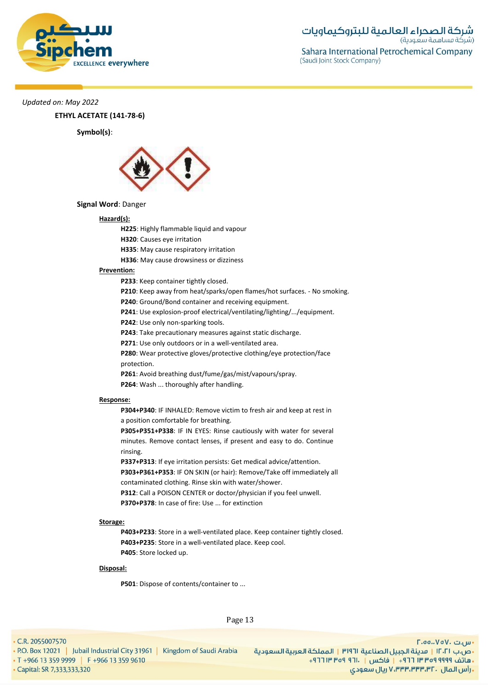

**ETHYL ACETATE (141-78-6)**

**Symbol(s)**:



#### **Signal Word**: Danger

#### **Hazard(s):**

- **H225**: Highly flammable liquid and vapour
- **H320**: Causes eye irritation
- **H335**: May cause respiratory irritation
- **H336**: May cause drowsiness or dizziness

### **Prevention:**

**P233**: Keep container tightly closed.

- **P210**: Keep away from heat/sparks/open flames/hot surfaces. No smoking.
- **P240**: Ground/Bond container and receiving equipment.
- **P241**: Use explosion-proof electrical/ventilating/lighting/.../equipment.
- **P242**: Use only non-sparking tools.
- **P243**: Take precautionary measures against static discharge.
- **P271**: Use only outdoors or in a well-ventilated area.

**P280**: Wear protective gloves/protective clothing/eye protection/face protection.

- **P261**: Avoid breathing dust/fume/gas/mist/vapours/spray.
- **P264**: Wash ... thoroughly after handling.

#### **Response:**

**P304+P340**: IF INHALED: Remove victim to fresh air and keep at rest in a position comfortable for breathing.

**P305+P351+P338**: IF IN EYES: Rinse cautiously with water for several minutes. Remove contact lenses, if present and easy to do. Continue rinsing.

**P337+P313**: If eye irritation persists: Get medical advice/attention. **P303+P361+P353**: IF ON SKIN (or hair): Remove/Take off immediately all contaminated clothing. Rinse skin with water/shower.

**P312**: Call a POISON CENTER or doctor/physician if you feel unwell. **P370+P378**: In case of fire: Use ... for extinction

#### **Storage:**

**P403+P233**: Store in a well-ventilated place. Keep container tightly closed. **P403+P235**: Store in a well-ventilated place. Keep cool. **P405**: Store locked up.

#### **Disposal:**

**P501**: Dispose of contents/container to ...

Page 13

• C.R. 2055007570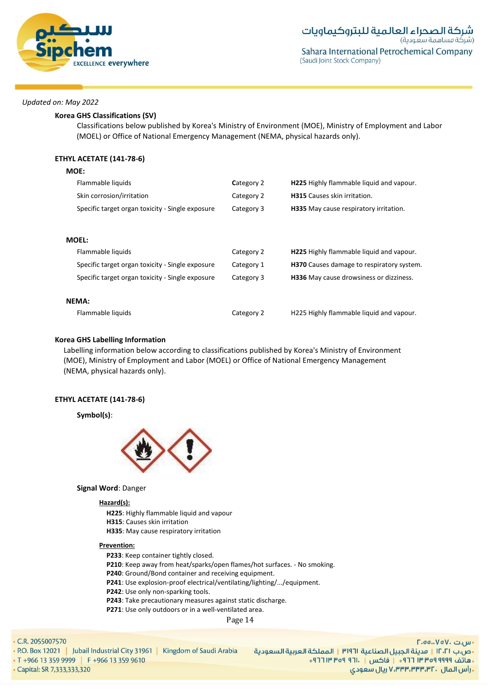

**MOE:**

### **Korea GHS Classifications (SV)**

Classifications below published by Korea's Ministry of Environment (MOE), Ministry of Employment and Labor (MOEL) or Office of National Emergency Management (NEMA, physical hazards only).

## **ETHYL ACETATE (141-78-6)**

| IVIUE:                                           |            |                                                 |
|--------------------------------------------------|------------|-------------------------------------------------|
| Flammable liquids                                | Category 2 | <b>H225</b> Highly flammable liquid and vapour. |
| Skin corrosion/irritation                        | Category 2 | <b>H315</b> Causes skin irritation.             |
| Specific target organ toxicity - Single exposure | Category 3 | H335 May cause respiratory irritation.          |
|                                                  |            |                                                 |
| <b>MOEL:</b>                                     |            |                                                 |
| Flammable liquids                                | Category 2 | <b>H225</b> Highly flammable liquid and vapour. |
| Specific target organ toxicity - Single exposure | Category 1 | H370 Causes damage to respiratory system.       |
| Specific target organ toxicity - Single exposure | Category 3 | H336 May cause drowsiness or dizziness.         |
|                                                  |            |                                                 |
| <b>NEMA:</b>                                     |            |                                                 |
| Flammable liquids                                | Category 2 | H225 Highly flammable liquid and vapour.        |

### **Korea GHS Labelling Information**

Labelling information below according to classifications published by Korea's Ministry of Environment (MOE), Ministry of Employment and Labor (MOEL) or Office of National Emergency Management (NEMA, physical hazards only).

### **ETHYL ACETATE (141-78-6)**

**Symbol(s)**:



## **Signal Word**: Danger

#### **Hazard(s):**

**H225**: Highly flammable liquid and vapour **H315**: Causes skin irritation **H335**: May cause respiratory irritation

#### **Prevention:**

**P233**: Keep container tightly closed.

- **P210**: Keep away from heat/sparks/open flames/hot surfaces. No smoking.
- **P240**: Ground/Bond container and receiving equipment.
- **P241**: Use explosion-proof electrical/ventilating/lighting/.../equipment.
- **P242**: Use only non-sparking tools.
- **P243**: Take precautionary measures against static discharge.
- **P271**: Use only outdoors or in a well-ventilated area.

Page 14

#### • C.R. 2055007570

- . P.O. Box 12021 | Jubail Industrial City 31961 | Kingdom of Saudi Arabia
- T +966 13 359 9999 | F +966 13 359 9610

- س.ت ۷۵۷۰-۲.٥٥ •ص.ب ١٢٠٢١ | مدينة الجبيل الصناعية ٣١٩٦١ | المملكة العربية السعودية + هاتف ٩٩٩٩ ٩٥٩ ٣٣ ٣ ٢٦١ - إ فاكس | . ١٣ ٢٥٩ ٣ ١٣ ٢٦٢ ريال سعودي, ۷٬۳۳۳٬۳۳۳٬۳۲۰ ريال سعودي

· Capital: SR 7,333,333,320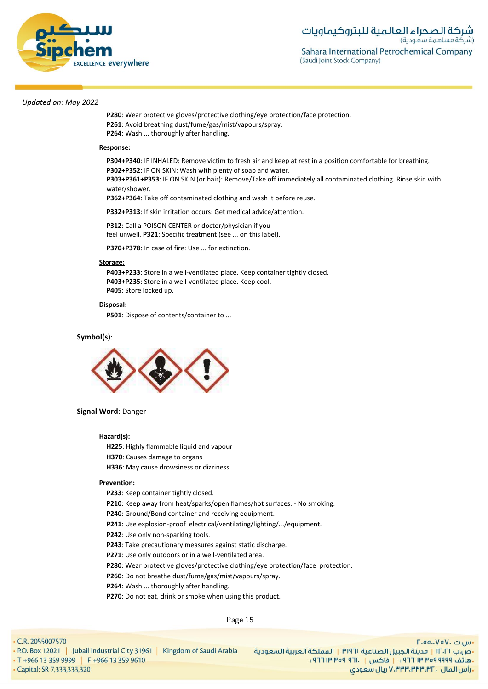

**P280**: Wear protective gloves/protective clothing/eye protection/face protection. **P261**: Avoid breathing dust/fume/gas/mist/vapours/spray. **P264**: Wash ... thoroughly after handling.

#### **Response:**

**P304+P340**: IF INHALED: Remove victim to fresh air and keep at rest in a position comfortable for breathing. **P302+P352**: IF ON SKIN: Wash with plenty of soap and water.

**P303+P361+P353**: IF ON SKIN (or hair): Remove/Take off immediately all contaminated clothing. Rinse skin with water/shower.

**P362+P364**: Take off contaminated clothing and wash it before reuse.

**P332+P313**: If skin irritation occurs: Get medical advice/attention.

**P312**: Call a POISON CENTER or doctor/physician if you feel unwell. **P321**: Specific treatment (see ... on this label).

**P370+P378**: In case of fire: Use ... for extinction.

### **Storage:**

**P403+P233**: Store in a well-ventilated place. Keep container tightly closed. **P403+P235**: Store in a well-ventilated place. Keep cool. **P405**: Store locked up.

#### **Disposal:**

**P501**: Dispose of contents/container to ...

#### **Symbol(s)**:



#### **Signal Word**: Danger

#### **Hazard(s):**

**H225**: Highly flammable liquid and vapour **H370**: Causes damage to organs

**H336**: May cause drowsiness or dizziness

#### **Prevention:**

**P233**: Keep container tightly closed.

**P210**: Keep away from heat/sparks/open flames/hot surfaces. - No smoking.

**P240**: Ground/Bond container and receiving equipment.

**P241**: Use explosion-proof electrical/ventilating/lighting/.../equipment.

**P242**: Use only non-sparking tools.

**P243**: Take precautionary measures against static discharge.

**P271**: Use only outdoors or in a well-ventilated area.

**P280**: Wear protective gloves/protective clothing/eye protection/face protection.

**P260**: Do not breathe dust/fume/gas/mist/vapours/spray.

**P264**: Wash ... thoroughly after handling.

**P270**: Do not eat, drink or smoke when using this product.

Page 15

#### • C.R. 2055007570

. P.O. Box 12021 | Jubail Industrial City 31961 | Kingdom of Saudi Arabia

• T +966 13 359 9999 | F +966 13 359 9610 • Capital: SR 7,333,333,320

 $\Gamma$ .00.. $V$ o $V$ . سى •ص.ب ١٢٠٢١ | مدينة الجبيل الصناعية ٣١٩٦١ | المملكة العربية السعودية + هاتف ٩٩٩٩ ٩٥٩ ٣٣ ٣ ٦٦١ + إ فاكس | . ١٣ ٢٥٩ ٣ ١٣ ٢٦٢ ريال سعودي, ۷٬۳۳۳٬۳۳۳٬۳۲۰ ريال سعودي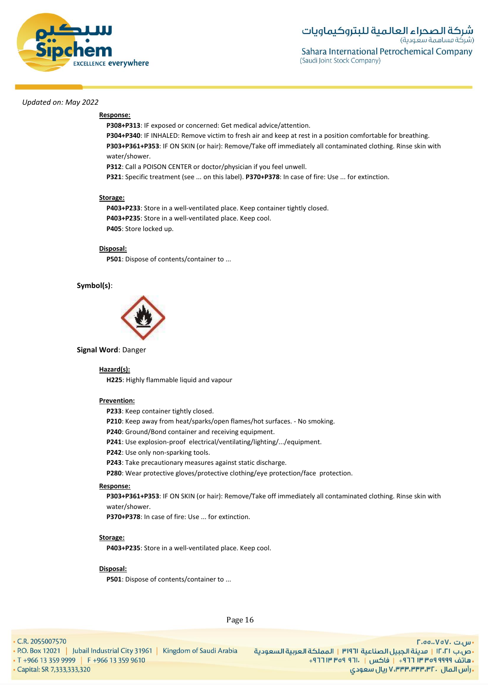

## **Response:**

**P308+P313**: IF exposed or concerned: Get medical advice/attention.

**P304+P340**: IF INHALED: Remove victim to fresh air and keep at rest in a position comfortable for breathing. **P303+P361+P353**: IF ON SKIN (or hair): Remove/Take off immediately all contaminated clothing. Rinse skin with water/shower.

**P312**: Call a POISON CENTER or doctor/physician if you feel unwell.

**P321**: Specific treatment (see ... on this label). **P370+P378**: In case of fire: Use ... for extinction.

#### **Storage:**

**P403+P233**: Store in a well-ventilated place. Keep container tightly closed. **P403+P235**: Store in a well-ventilated place. Keep cool. **P405**: Store locked up.

## **Disposal:**

**P501**: Dispose of contents/container to ...

### **Symbol(s)**:



#### **Signal Word**: Danger

#### **Hazard(s):**

**H225**: Highly flammable liquid and vapour

#### **Prevention:**

**P233**: Keep container tightly closed.

**P210**: Keep away from heat/sparks/open flames/hot surfaces. - No smoking.

**P240**: Ground/Bond container and receiving equipment.

**P241**: Use explosion-proof electrical/ventilating/lighting/.../equipment.

**P242**: Use only non-sparking tools.

**P243**: Take precautionary measures against static discharge.

**P280**: Wear protective gloves/protective clothing/eye protection/face protection.

#### **Response:**

**P303+P361+P353**: IF ON SKIN (or hair): Remove/Take off immediately all contaminated clothing. Rinse skin with water/shower.

**P370+P378**: In case of fire: Use ... for extinction.

#### **Storage:**

**P403+P235**: Store in a well-ventilated place. Keep cool.

#### **Disposal:**

**P501**: Dispose of contents/container to ...

• C.R. 2055007570

Page 16

· Capital: SR 7,333,333,320

• T +966 13 359 9999 | F +966 13 359 9610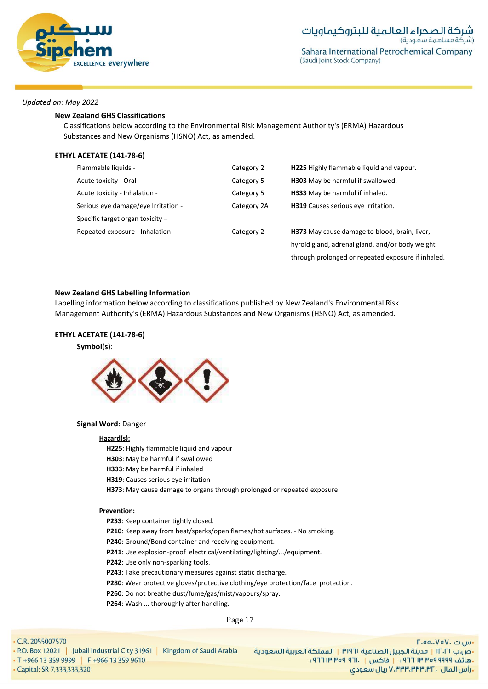

#### **New Zealand GHS Classifications**

Classifications below according to the Environmental Risk Management Authority's (ERMA) Hazardous Substances and New Organisms (HSNO) Act, as amended.

### **ETHYL ACETATE (141-78-6)**

| Flammable liquids -                 | Category 2  | <b>H225</b> Highly flammable liquid and vapour.    |
|-------------------------------------|-------------|----------------------------------------------------|
| Acute toxicity - Oral -             | Category 5  | <b>H303</b> May be harmful if swallowed.           |
| Acute toxicity - Inhalation -       | Category 5  | <b>H333</b> May be harmful if inhaled.             |
| Serious eye damage/eye Irritation - | Category 2A | H319 Causes serious eye irritation.                |
| Specific target organ toxicity $-$  |             |                                                    |
| Repeated exposure - Inhalation -    | Category 2  | H373 May cause damage to blood, brain, liver,      |
|                                     |             | hyroid gland, adrenal gland, and/or body weight    |
|                                     |             | through prolonged or repeated exposure if inhaled. |

#### **New Zealand GHS Labelling Information**

Labelling information below according to classifications published by New Zealand's Environmental Risk Management Authority's (ERMA) Hazardous Substances and New Organisms (HSNO) Act, as amended.

## **ETHYL ACETATE (141-78-6)**

### **Symbol(s)**:



## **Signal Word**: Danger

#### **Hazard(s):**

**H225**: Highly flammable liquid and vapour

- **H303**: May be harmful if swallowed
- **H333**: May be harmful if inhaled
- **H319**: Causes serious eye irritation
- **H373**: May cause damage to organs through prolonged or repeated exposure

#### **Prevention:**

**P233**: Keep container tightly closed.

- **P210**: Keep away from heat/sparks/open flames/hot surfaces. No smoking.
- **P240**: Ground/Bond container and receiving equipment.
- **P241**: Use explosion-proof electrical/ventilating/lighting/.../equipment.
- **P242**: Use only non-sparking tools.
- **P243**: Take precautionary measures against static discharge.
- **P280**: Wear protective gloves/protective clothing/eye protection/face protection.
- **P260**: Do not breathe dust/fume/gas/mist/vapours/spray.

**P264**: Wash ... thoroughly after handling.

Page 17

 $\cdot$  C.R. 2055007570

| • P.O. Box 12021   Jubail Industrial City 31961 |  | Kingdom of Saudi Arabia |
|-------------------------------------------------|--|-------------------------|
| $\cdot$ T +966 13 359 9999 F +966 13 359 9610   |  |                         |
| • Capital: SR 7,333,333,320                     |  |                         |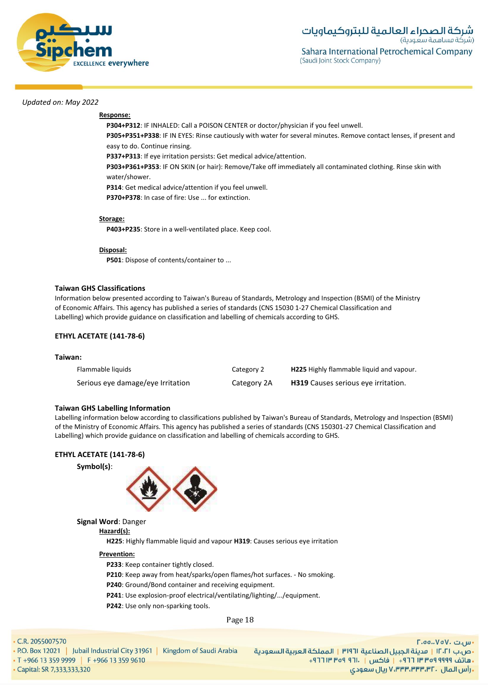

## **Response:**

**P304+P312**: IF INHALED: Call a POISON CENTER or doctor/physician if you feel unwell.

**P305+P351+P338**: IF IN EYES: Rinse cautiously with water for several minutes. Remove contact lenses, if present and easy to do. Continue rinsing.

**P337+P313**: If eye irritation persists: Get medical advice/attention.

**P303+P361+P353**: IF ON SKIN (or hair): Remove/Take off immediately all contaminated clothing. Rinse skin with water/shower.

**P314**: Get medical advice/attention if you feel unwell.

**P370+P378**: In case of fire: Use ... for extinction.

#### **Storage:**

**P403+P235**: Store in a well-ventilated place. Keep cool.

#### **Disposal:**

**P501**: Dispose of contents/container to ...

#### **Taiwan GHS Classifications**

Information below presented according to Taiwan's Bureau of Standards, Metrology and Inspection (BSMI) of the Ministry of Economic Affairs. This agency has published a series of standards (CNS 15030 1-27 Chemical Classification and Labelling) which provide guidance on classification and labelling of chemicals according to GHS.

### **ETHYL ACETATE (141-78-6)**

## **Taiwan:**

| Flammable liquids                 | Category 2  | <b>H225</b> Highly flammable liquid and vapour. |
|-----------------------------------|-------------|-------------------------------------------------|
| Serious eye damage/eye Irritation | Category 2A | <b>H319</b> Causes serious eye irritation.      |

#### **Taiwan GHS Labelling Information**

Labelling information below according to classifications published by Taiwan's Bureau of Standards, Metrology and Inspection (BSMI) of the Ministry of Economic Affairs. This agency has published a series of standards (CNS 150301-27 Chemical Classification and Labelling) which provide guidance on classification and labelling of chemicals according to GHS.

### **ETHYL ACETATE (141-78-6)**

#### **Symbol(s)**:



## **Signal Word**: Danger

**Hazard(s):**

**H225**: Highly flammable liquid and vapour **H319**: Causes serious eye irritation

#### **Prevention:**

**P233**: Keep container tightly closed.

**P210**: Keep away from heat/sparks/open flames/hot surfaces. - No smoking.

- **P240**: Ground/Bond container and receiving equipment.
- **P241**: Use explosion-proof electrical/ventilating/lighting/.../equipment.
- **P242**: Use only non-sparking tools.

Page 18

#### • C.R. 2055007570

. P.O. Box 12021 | Jubail Industrial City 31961 | Kingdom of Saudi Arabia • T +966 13 359 9999 | F +966 13 359 9610

 $\Gamma$ .00.. $V$ o $V$ . سى

• Capital: SR 7,333,333,320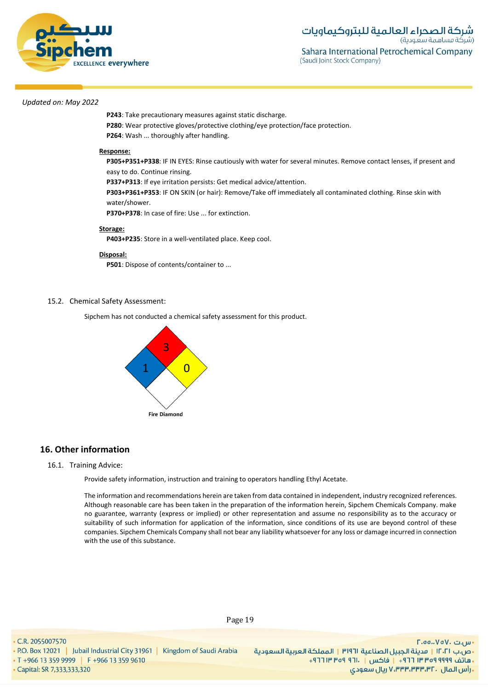

**P243**: Take precautionary measures against static discharge. **P280**: Wear protective gloves/protective clothing/eye protection/face protection. **P264**: Wash ... thoroughly after handling.

#### **Response:**

**P305+P351+P338**: IF IN EYES: Rinse cautiously with water for several minutes. Remove contact lenses, if present and easy to do. Continue rinsing.

**P337+P313**: If eye irritation persists: Get medical advice/attention.

**P303+P361+P353**: IF ON SKIN (or hair): Remove/Take off immediately all contaminated clothing. Rinse skin with water/shower.

**P370+P378**: In case of fire: Use ... for extinction.

#### **Storage:**

**P403+P235**: Store in a well-ventilated place. Keep cool.

#### **Disposal:**

**P501**: Dispose of contents/container to ...

### 15.2. Chemical Safety Assessment:

Sipchem has not conducted a chemical safety assessment for this product.



## **16. Other information**

#### 16.1. Training Advice:

Provide safety information, instruction and training to operators handling Ethyl Acetate.

The information and recommendations herein are taken from data contained in independent, industry recognized references. Although reasonable care has been taken in the preparation of the information herein, Sipchem Chemicals Company. make no guarantee, warranty (express or implied) or other representation and assume no responsibility as to the accuracy or suitability of such information for application of the information, since conditions of its use are beyond control of these companies. Sipchem Chemicals Company shall not bear any liability whatsoever for any loss or damage incurred in connection with the use of this substance.

• C.R. 2055007570

. P.O. Box 12021 | Jubail Industrial City 31961 | Kingdom of Saudi Arabia

• T +966 13 359 9999 | F +966 13 359 9610 • Capital: SR 7,333,333,320

 $\Gamma$ .00.. $V$ o $V$ . سى ال •ص.ب ١٢٠٢١ | مدينة الجبيل الصناعية ٣١٩٦١ | المملكة العربية السعودية + هاتف ٩٩٩٩ ٩٥٩ ٣٣ ٣ ٦٦١ + إ فاكس | . ١٣ ٢٥٩ ٣ ١٣ ٢٦٢ ريال سعودي, ۷٬۳۳۳٬۳۳۳٬۳۲۰ ريال سعودي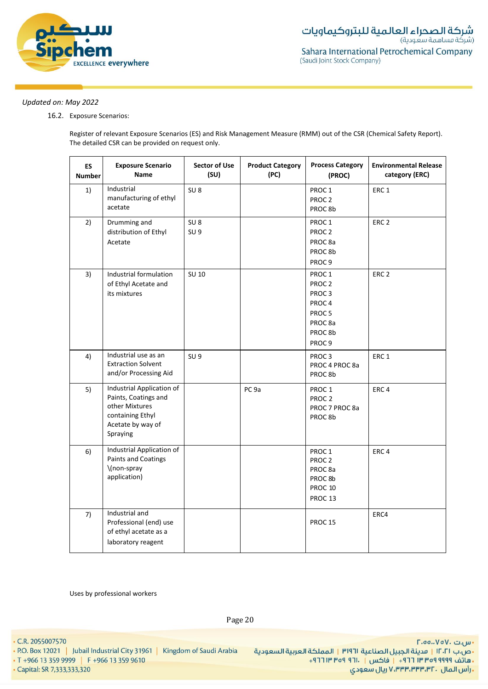

16.2. Exposure Scenarios:

Register of relevant Exposure Scenarios (ES) and Risk Management Measure (RMM) out of the CSR (Chemical Safety Report). The detailed CSR can be provided on request only.

| <b>ES</b><br><b>Number</b> | <b>Exposure Scenario</b><br>Name                                                                                         | <b>Sector of Use</b><br>(SU)       | <b>Product Category</b><br>(PC) | <b>Process Category</b><br>(PROC)                                                                                                                           | <b>Environmental Release</b><br>category (ERC) |
|----------------------------|--------------------------------------------------------------------------------------------------------------------------|------------------------------------|---------------------------------|-------------------------------------------------------------------------------------------------------------------------------------------------------------|------------------------------------------------|
| 1)                         | Industrial<br>manufacturing of ethyl<br>acetate                                                                          | SU <sub>8</sub>                    |                                 | PROC <sub>1</sub><br>PROC <sub>2</sub><br>PROC 8b                                                                                                           | ERC <sub>1</sub>                               |
| 2)                         | Drumming and<br>distribution of Ethyl<br>Acetate                                                                         | SU <sub>8</sub><br>SU <sub>9</sub> |                                 | PROC <sub>1</sub><br>PROC <sub>2</sub><br>PROC <sub>8a</sub><br>PROC <sub>8b</sub><br>PROC <sub>9</sub>                                                     | ERC <sub>2</sub>                               |
| 3)                         | Industrial formulation<br>of Ethyl Acetate and<br>its mixtures                                                           | SU 10                              |                                 | PROC 1<br>PROC <sub>2</sub><br>PROC <sub>3</sub><br>PROC <sub>4</sub><br>PROC <sub>5</sub><br>PROC <sub>8a</sub><br>PROC <sub>8b</sub><br>PROC <sub>9</sub> | ERC <sub>2</sub>                               |
| 4)                         | Industrial use as an<br><b>Extraction Solvent</b><br>and/or Processing Aid                                               | SU <sub>9</sub>                    |                                 | PROC <sub>3</sub><br>PROC 4 PROC 8a<br>PROC 8b                                                                                                              | ERC <sub>1</sub>                               |
| 5)                         | Industrial Application of<br>Paints, Coatings and<br>other Mixtures<br>containing Ethyl<br>Acetate by way of<br>Spraying |                                    | PC <sub>9a</sub>                | PROC <sub>1</sub><br>PROC <sub>2</sub><br>PROC 7 PROC 8a<br>PROC8b                                                                                          | ERC <sub>4</sub>                               |
| 6)                         | Industrial Application of<br><b>Paints and Coatings</b><br>\(non-spray<br>application)                                   |                                    |                                 | PROC1<br>PROC <sub>2</sub><br>PROC <sub>8a</sub><br>PROC 8b<br>PROC 10<br>PROC 13                                                                           | ERC <sub>4</sub>                               |
| 7)                         | Industrial and<br>Professional (end) use<br>of ethyl acetate as a<br>laboratory reagent                                  |                                    |                                 | <b>PROC 15</b>                                                                                                                                              | ERC4                                           |

Uses by professional workers

Page 20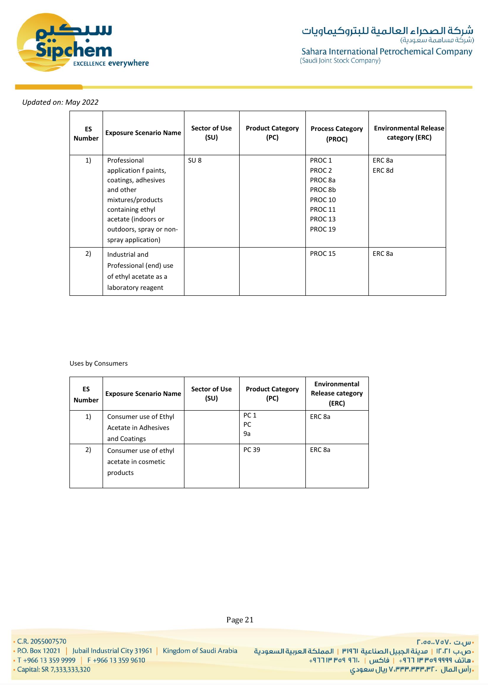

| ES<br><b>Number</b> | <b>Exposure Scenario Name</b>                                                                                                                                                              | Sector of Use<br>(SU) | <b>Product Category</b><br>(PC) | <b>Process Category</b><br>(PROC)                                                                                                                                          | <b>Environmental Release</b><br>category (ERC) |
|---------------------|--------------------------------------------------------------------------------------------------------------------------------------------------------------------------------------------|-----------------------|---------------------------------|----------------------------------------------------------------------------------------------------------------------------------------------------------------------------|------------------------------------------------|
| 1)                  | Professional<br>application f paints,<br>coatings, adhesives<br>and other<br>mixtures/products<br>containing ethyl<br>acetate (indoors or<br>outdoors, spray or non-<br>spray application) | SU <sub>8</sub>       |                                 | PROC <sub>1</sub><br>PROC <sub>2</sub><br>PROC <sub>8a</sub><br>PROC <sub>8b</sub><br>PROC <sub>10</sub><br>PROC <sub>11</sub><br>PROC <sub>13</sub><br>PROC <sub>19</sub> | ERC 8a<br>ERC 8d                               |
| 2)                  | Industrial and<br>Professional (end) use<br>of ethyl acetate as a<br>laboratory reagent                                                                                                    |                       |                                 | PROC <sub>15</sub>                                                                                                                                                         | ERC <sub>8a</sub>                              |

Uses by Consumers

| ES<br><b>Number</b> | <b>Exposure Scenario Name</b>                                 | Sector of Use<br>(SU) | <b>Product Category</b><br>(PC) | Environmental<br><b>Release category</b><br>(ERC) |
|---------------------|---------------------------------------------------------------|-----------------------|---------------------------------|---------------------------------------------------|
| 1)                  | Consumer use of Ethyl<br>Acetate in Adhesives<br>and Coatings |                       | PC <sub>1</sub><br>PC<br>9a     | ERC 8a                                            |
| 2)                  | Consumer use of ethyl<br>acetate in cosmetic<br>products      |                       | PC 39                           | ERC <sub>8a</sub>                                 |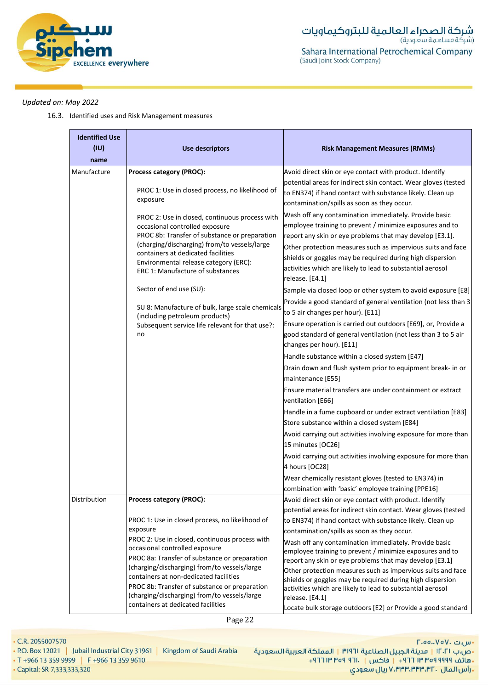

16.3. Identified uses and Risk Management measures

| <b>Identified Use</b><br>(IU)<br>name | <b>Use descriptors</b>                                                                                                                                                                                                                                                                                                                                                                                                                                                                                                                                                    | <b>Risk Management Measures (RMMs)</b>                                                                                                                                                                                                                                                                                                                                                                                                                                                                                                                                                                                                                                                                                                                                                                                                                                                                                                                                                                                                                                                                                                                                                                                                                                                                                                                                                                                                                                                                                                                  |
|---------------------------------------|---------------------------------------------------------------------------------------------------------------------------------------------------------------------------------------------------------------------------------------------------------------------------------------------------------------------------------------------------------------------------------------------------------------------------------------------------------------------------------------------------------------------------------------------------------------------------|---------------------------------------------------------------------------------------------------------------------------------------------------------------------------------------------------------------------------------------------------------------------------------------------------------------------------------------------------------------------------------------------------------------------------------------------------------------------------------------------------------------------------------------------------------------------------------------------------------------------------------------------------------------------------------------------------------------------------------------------------------------------------------------------------------------------------------------------------------------------------------------------------------------------------------------------------------------------------------------------------------------------------------------------------------------------------------------------------------------------------------------------------------------------------------------------------------------------------------------------------------------------------------------------------------------------------------------------------------------------------------------------------------------------------------------------------------------------------------------------------------------------------------------------------------|
| Manufacture                           | Process category (PROC):<br>PROC 1: Use in closed process, no likelihood of<br>exposure<br>PROC 2: Use in closed, continuous process with<br>occasional controlled exposure<br>PROC 8b: Transfer of substance or preparation<br>(charging/discharging) from/to vessels/large<br>containers at dedicated facilities<br>Environmental release category (ERC):<br>ERC 1: Manufacture of substances<br>Sector of end use (SU):<br>SU 8: Manufacture of bulk, large scale chemicals<br>(including petroleum products)<br>Subsequent service life relevant for that use?:<br>no | Avoid direct skin or eye contact with product. Identify<br>potential areas for indirect skin contact. Wear gloves (tested<br>to EN374) if hand contact with substance likely. Clean up<br>contamination/spills as soon as they occur.<br>Wash off any contamination immediately. Provide basic<br>employee training to prevent / minimize exposures and to<br>report any skin or eye problems that may develop [E3.1].<br>Other protection measures such as impervious suits and face<br>shields or goggles may be required during high dispersion<br>activities which are likely to lead to substantial aerosol<br>release. [E4.1]<br>Sample via closed loop or other system to avoid exposure [E8]<br>Provide a good standard of general ventilation (not less than 3<br>to 5 air changes per hour). [E11]<br>Ensure operation is carried out outdoors [E69], or, Provide a<br>good standard of general ventilation (not less than 3 to 5 air<br>changes per hour). [E11]<br>Handle substance within a closed system [E47]<br>Drain down and flush system prior to equipment break- in or<br>maintenance [E55]<br>Ensure material transfers are under containment or extract<br>ventilation [E66]<br>Handle in a fume cupboard or under extract ventilation [E83]<br>Store substance within a closed system [E84]<br>Avoid carrying out activities involving exposure for more than<br>15 minutes [OC26]<br>Avoid carrying out activities involving exposure for more than<br>4 hours [OC28]<br>Wear chemically resistant gloves (tested to EN374) in |
| Distribution                          | Process category (PROC):                                                                                                                                                                                                                                                                                                                                                                                                                                                                                                                                                  | combination with 'basic' employee training [PPE16]<br>Avoid direct skin or eye contact with product. Identify                                                                                                                                                                                                                                                                                                                                                                                                                                                                                                                                                                                                                                                                                                                                                                                                                                                                                                                                                                                                                                                                                                                                                                                                                                                                                                                                                                                                                                           |
|                                       | PROC 1: Use in closed process, no likelihood of<br>exposure<br>PROC 2: Use in closed, continuous process with<br>occasional controlled exposure<br>PROC 8a: Transfer of substance or preparation<br>(charging/discharging) from/to vessels/large<br>containers at non-dedicated facilities<br>PROC 8b: Transfer of substance or preparation<br>(charging/discharging) from/to vessels/large<br>containers at dedicated facilities                                                                                                                                         | potential areas for indirect skin contact. Wear gloves (tested<br>to EN374) if hand contact with substance likely. Clean up<br>contamination/spills as soon as they occur.<br>Wash off any contamination immediately. Provide basic<br>employee training to prevent / minimize exposures and to<br>report any skin or eye problems that may develop [E3.1]<br>Other protection measures such as impervious suits and face<br>shields or goggles may be required during high dispersion<br>activities which are likely to lead to substantial aerosol<br>release. [E4.1]<br>Locate bulk storage outdoors [E2] or Provide a good standard                                                                                                                                                                                                                                                                                                                                                                                                                                                                                                                                                                                                                                                                                                                                                                                                                                                                                                                 |

• C.R. 2055007570

- P.O. Box 12021 | Jubail Industrial City 31961 | Kingdom of Saudi Arabia
- T +966 13 359 9999 | F +966 13 359 9610

• Capital: SR 7,333,333,320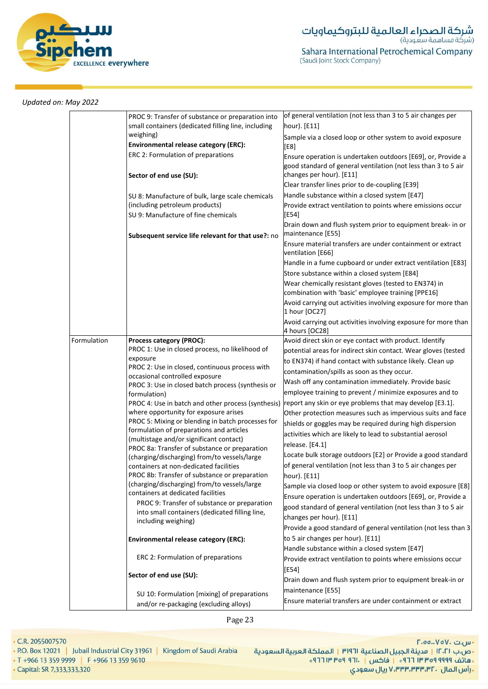

|             | PROC 9: Transfer of substance or preparation into<br>small containers (dedicated filling line, including | of general ventilation (not less than 3 to 5 air changes per<br>hour). [E11]                                                                                                    |
|-------------|----------------------------------------------------------------------------------------------------------|---------------------------------------------------------------------------------------------------------------------------------------------------------------------------------|
|             | weighing)<br><b>Environmental release category (ERC):</b>                                                | Sample via a closed loop or other system to avoid exposure<br>[E8]                                                                                                              |
|             | ERC 2: Formulation of preparations                                                                       | Ensure operation is undertaken outdoors [E69], or, Provide a<br>good standard of general ventilation (not less than 3 to 5 air                                                  |
|             | Sector of end use (SU):                                                                                  | changes per hour). [E11]<br>Clear transfer lines prior to de-coupling [E39]                                                                                                     |
|             | SU 8: Manufacture of bulk, large scale chemicals                                                         | Handle substance within a closed system [E47]                                                                                                                                   |
|             | (including petroleum products)                                                                           | Provide extract ventilation to points where emissions occur                                                                                                                     |
|             | SU 9: Manufacture of fine chemicals                                                                      | [E54]<br>Drain down and flush system prior to equipment break- in or                                                                                                            |
|             | Subsequent service life relevant for that use?: no                                                       | maintenance [E55]                                                                                                                                                               |
|             |                                                                                                          | Ensure material transfers are under containment or extract<br>ventilation [E66]                                                                                                 |
|             |                                                                                                          | Handle in a fume cupboard or under extract ventilation [E83]                                                                                                                    |
|             |                                                                                                          | Store substance within a closed system [E84]                                                                                                                                    |
|             |                                                                                                          | Wear chemically resistant gloves (tested to EN374) in<br>combination with 'basic' employee training [PPE16]                                                                     |
|             |                                                                                                          | Avoid carrying out activities involving exposure for more than<br>1 hour [OC27]                                                                                                 |
|             |                                                                                                          | Avoid carrying out activities involving exposure for more than<br>4 hours [OC28]                                                                                                |
| Formulation | Process category (PROC):                                                                                 | Avoid direct skin or eye contact with product. Identify                                                                                                                         |
|             | PROC 1: Use in closed process, no likelihood of                                                          | potential areas for indirect skin contact. Wear gloves (tested                                                                                                                  |
|             | exposure<br>PROC 2: Use in closed, continuous process with                                               | to EN374) if hand contact with substance likely. Clean up                                                                                                                       |
|             | occasional controlled exposure                                                                           | contamination/spills as soon as they occur.                                                                                                                                     |
|             | PROC 3: Use in closed batch process (synthesis or                                                        | Wash off any contamination immediately. Provide basic                                                                                                                           |
|             | formulation)                                                                                             | employee training to prevent / minimize exposures and to                                                                                                                        |
|             | PROC 4: Use in batch and other process (synthesis)                                                       | report any skin or eye problems that may develop [E3.1].                                                                                                                        |
|             | where opportunity for exposure arises                                                                    | Other protection measures such as impervious suits and face                                                                                                                     |
|             | PROC 5: Mixing or blending in batch processes for                                                        | shields or goggles may be required during high dispersion                                                                                                                       |
|             | formulation of preparations and articles<br>(multistage and/or significant contact)                      | activities which are likely to lead to substantial aerosol                                                                                                                      |
|             | PROC 8a: Transfer of substance or preparation                                                            | release. [E4.1]                                                                                                                                                                 |
|             | (charging/discharging) from/to vessels/large                                                             | Locate bulk storage outdoors [E2] or Provide a good standard                                                                                                                    |
|             | containers at non-dedicated facilities                                                                   | of general ventilation (not less than 3 to 5 air changes per                                                                                                                    |
|             | PROC 8b: Transfer of substance or preparation                                                            | hour). [E11]                                                                                                                                                                    |
|             | (charging/discharging) from/to vessels/large                                                             | Sample via closed loop or other system to avoid exposure [E8]                                                                                                                   |
|             | containers at dedicated facilities                                                                       | Ensure operation is undertaken outdoors [E69], or, Provide a                                                                                                                    |
|             | PROC 9: Transfer of substance or preparation                                                             | good standard of general ventilation (not less than 3 to 5 air                                                                                                                  |
|             | into small containers (dedicated filling line,                                                           |                                                                                                                                                                                 |
|             |                                                                                                          |                                                                                                                                                                                 |
|             | including weighing)                                                                                      | changes per hour). [E11]                                                                                                                                                        |
|             |                                                                                                          |                                                                                                                                                                                 |
|             | <b>Environmental release category (ERC):</b>                                                             | to 5 air changes per hour). [E11]                                                                                                                                               |
|             | ERC 2: Formulation of preparations                                                                       | Provide a good standard of general ventilation (not less than 3<br>Handle substance within a closed system [E47]<br>Provide extract ventilation to points where emissions occur |
|             | Sector of end use (SU):                                                                                  | [E54]<br>Drain down and flush system prior to equipment break-in or                                                                                                             |
|             | SU 10: Formulation [mixing] of preparations                                                              | maintenance [E55]                                                                                                                                                               |

Page 23

• C.R. 2055007570

• Capital: SR 7,333,333,320

• P.O. Box 12021 | Jubail Industrial City 31961 | Kingdom of Saudi Arabia

• T +966 13 359 9999 | F +966 13 359 9610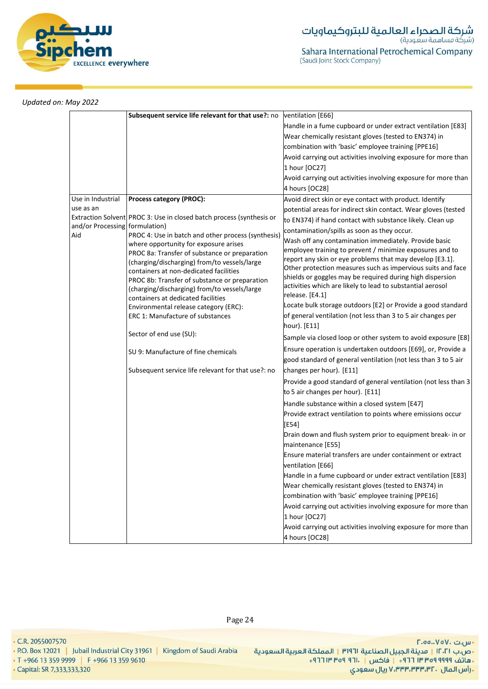

|                                | Subsequent service life relevant for that use?: no                                     | ventilation [E66]                                               |
|--------------------------------|----------------------------------------------------------------------------------------|-----------------------------------------------------------------|
|                                |                                                                                        | Handle in a fume cupboard or under extract ventilation [E83]    |
|                                |                                                                                        | Wear chemically resistant gloves (tested to EN374) in           |
|                                |                                                                                        | combination with 'basic' employee training [PPE16]              |
|                                |                                                                                        | Avoid carrying out activities involving exposure for more than  |
|                                |                                                                                        | 1 hour [OC27]                                                   |
|                                |                                                                                        | Avoid carrying out activities involving exposure for more than  |
|                                |                                                                                        | 4 hours [OC28]                                                  |
| Use in Industrial              | Process category (PROC):                                                               | Avoid direct skin or eye contact with product. Identify         |
| use as an                      |                                                                                        | potential areas for indirect skin contact. Wear gloves (tested  |
|                                | Extraction Solvent PROC 3: Use in closed batch process (synthesis or                   | to EN374) if hand contact with substance likely. Clean up       |
| and/or Processing formulation) |                                                                                        | contamination/spills as soon as they occur.                     |
| Aid                            | PROC 4: Use in batch and other process (synthesis)                                     | Wash off any contamination immediately. Provide basic           |
|                                | where opportunity for exposure arises<br>PROC 8a: Transfer of substance or preparation | employee training to prevent / minimize exposures and to        |
|                                | (charging/discharging) from/to vessels/large                                           | report any skin or eye problems that may develop [E3.1].        |
|                                | containers at non-dedicated facilities                                                 | Other protection measures such as impervious suits and face     |
|                                | PROC 8b: Transfer of substance or preparation                                          | shields or goggles may be required during high dispersion       |
|                                | (charging/discharging) from/to vessels/large                                           | activities which are likely to lead to substantial aerosol      |
|                                | containers at dedicated facilities                                                     | release. [E4.1]                                                 |
|                                | Environmental release category (ERC):                                                  | Locate bulk storage outdoors [E2] or Provide a good standard    |
|                                | ERC 1: Manufacture of substances                                                       | of general ventilation (not less than 3 to 5 air changes per    |
|                                |                                                                                        | hour). [E11]                                                    |
|                                | Sector of end use (SU):                                                                | Sample via closed loop or other system to avoid exposure [E8]   |
|                                | SU 9: Manufacture of fine chemicals                                                    | Ensure operation is undertaken outdoors [E69], or, Provide a    |
|                                |                                                                                        | good standard of general ventilation (not less than 3 to 5 air  |
|                                | Subsequent service life relevant for that use?: no                                     | changes per hour). [E11]                                        |
|                                |                                                                                        | Provide a good standard of general ventilation (not less than 3 |
|                                |                                                                                        | to 5 air changes per hour). [E11]                               |
|                                |                                                                                        |                                                                 |
|                                |                                                                                        | Handle substance within a closed system [E47]                   |
|                                |                                                                                        | Provide extract ventilation to points where emissions occur     |
|                                |                                                                                        | [E54]                                                           |
|                                |                                                                                        | Drain down and flush system prior to equipment break- in or     |
|                                |                                                                                        | maintenance [E55]                                               |
|                                |                                                                                        | Ensure material transfers are under containment or extract      |
|                                |                                                                                        | ventilation [E66]                                               |
|                                |                                                                                        | Handle in a fume cupboard or under extract ventilation [E83]    |
|                                |                                                                                        | Wear chemically resistant gloves (tested to EN374) in           |
|                                |                                                                                        | combination with 'basic' employee training [PPE16]              |
|                                |                                                                                        | Avoid carrying out activities involving exposure for more than  |
|                                |                                                                                        | 1 hour [OC27]                                                   |
|                                |                                                                                        | Avoid carrying out activities involving exposure for more than  |
|                                |                                                                                        | 4 hours [OC28]                                                  |

• C.R. 2055007570

• P.O. Box 12021 | Jubail Industrial City 31961 | Kingdom of Saudi Arabia

• T +966 13 359 9999 | F +966 13 359 9610

• Capital: SR 7,333,333,320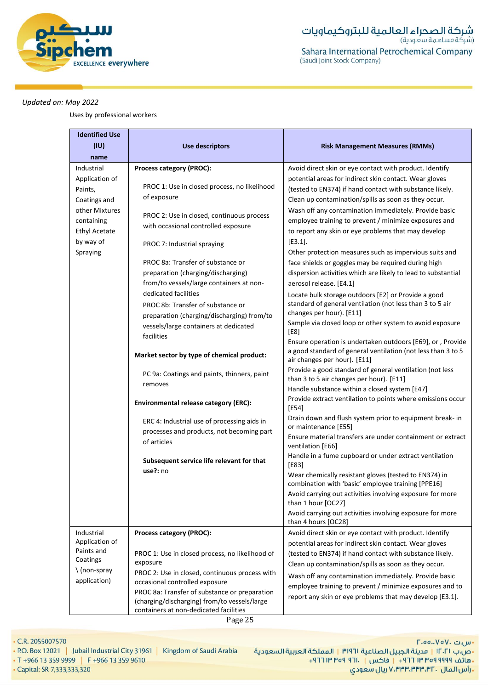

Uses by professional workers

| <b>Identified Use</b><br>(IU)<br>name                                                                                                    | <b>Use descriptors</b>                                                                                                                                                                                                                                                                                                                                                                                                                                                                                                                            | <b>Risk Management Measures (RMMs)</b>                                                                                                                                                                                                                                                                                                                                                                                                                                                                                                                                                                                                                                                                                                                                                                                                                                                                                                                                                                                   |
|------------------------------------------------------------------------------------------------------------------------------------------|---------------------------------------------------------------------------------------------------------------------------------------------------------------------------------------------------------------------------------------------------------------------------------------------------------------------------------------------------------------------------------------------------------------------------------------------------------------------------------------------------------------------------------------------------|--------------------------------------------------------------------------------------------------------------------------------------------------------------------------------------------------------------------------------------------------------------------------------------------------------------------------------------------------------------------------------------------------------------------------------------------------------------------------------------------------------------------------------------------------------------------------------------------------------------------------------------------------------------------------------------------------------------------------------------------------------------------------------------------------------------------------------------------------------------------------------------------------------------------------------------------------------------------------------------------------------------------------|
| Industrial<br>Application of<br>Paints,<br>Coatings and<br>other Mixtures<br>containing<br><b>Ethyl Acetate</b><br>by way of<br>Spraying | Process category (PROC):<br>PROC 1: Use in closed process, no likelihood<br>of exposure<br>PROC 2: Use in closed, continuous process<br>with occasional controlled exposure<br>PROC 7: Industrial spraying<br>PROC 8a: Transfer of substance or<br>preparation (charging/discharging)<br>from/to vessels/large containers at non-<br>dedicated facilities<br>PROC 8b: Transfer of substance or<br>preparation (charging/discharging) from/to<br>vessels/large containers at dedicated<br>facilities<br>Market sector by type of chemical product: | Avoid direct skin or eye contact with product. Identify<br>potential areas for indirect skin contact. Wear gloves<br>(tested to EN374) if hand contact with substance likely.<br>Clean up contamination/spills as soon as they occur.<br>Wash off any contamination immediately. Provide basic<br>employee training to prevent / minimize exposures and<br>to report any skin or eye problems that may develop<br>[E3.1].<br>Other protection measures such as impervious suits and<br>face shields or goggles may be required during high<br>dispersion activities which are likely to lead to substantial<br>aerosol release. [E4.1]<br>Locate bulk storage outdoors [E2] or Provide a good<br>standard of general ventilation (not less than 3 to 5 air<br>changes per hour). [E11]<br>Sample via closed loop or other system to avoid exposure<br>[E8]<br>Ensure operation is undertaken outdoors [E69], or, Provide<br>a good standard of general ventilation (not less than 3 to 5<br>air changes per hour). [E11] |
| Industrial                                                                                                                               | PC 9a: Coatings and paints, thinners, paint<br>removes<br><b>Environmental release category (ERC):</b><br>ERC 4: Industrial use of processing aids in<br>processes and products, not becoming part<br>of articles<br>Subsequent service life relevant for that<br>use?: no<br>Process category (PROC):                                                                                                                                                                                                                                            | Provide a good standard of general ventilation (not less<br>than 3 to 5 air changes per hour). [E11]<br>Handle substance within a closed system [E47]<br>Provide extract ventilation to points where emissions occur<br>[E54]<br>Drain down and flush system prior to equipment break- in<br>or maintenance [E55]<br>Ensure material transfers are under containment or extract<br>ventilation [E66]<br>Handle in a fume cupboard or under extract ventilation<br>[E83]<br>Wear chemically resistant gloves (tested to EN374) in<br>combination with 'basic' employee training [PPE16]<br>Avoid carrying out activities involving exposure for more<br>than 1 hour [OC27]<br>Avoid carrying out activities involving exposure for more<br>than 4 hours [OC28]<br>Avoid direct skin or eye contact with product. Identify                                                                                                                                                                                                 |
| Application of<br>Paints and<br>Coatings<br>\(non-spray<br>application)                                                                  | PROC 1: Use in closed process, no likelihood of<br>exposure<br>PROC 2: Use in closed, continuous process with<br>occasional controlled exposure<br>PROC 8a: Transfer of substance or preparation<br>(charging/discharging) from/to vessels/large<br>containers at non-dedicated facilities                                                                                                                                                                                                                                                        | potential areas for indirect skin contact. Wear gloves<br>(tested to EN374) if hand contact with substance likely.<br>Clean up contamination/spills as soon as they occur.<br>Wash off any contamination immediately. Provide basic<br>employee training to prevent / minimize exposures and to<br>report any skin or eye problems that may develop [E3.1].                                                                                                                                                                                                                                                                                                                                                                                                                                                                                                                                                                                                                                                              |

Page 25

• C.R. 2055007570

• P.O. Box 12021 | Jubail Industrial City 31961 | Kingdom of Saudi Arabia

• T +966 13 359 9999 | F +966 13 359 9610

• Capital: SR 7,333,333,320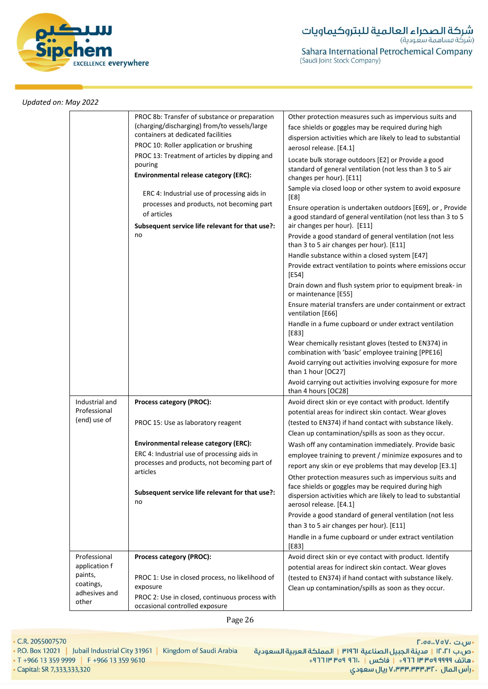

|                                                                                 | PROC 8b: Transfer of substance or preparation<br>(charging/discharging) from/to vessels/large<br>containers at dedicated facilities<br>PROC 10: Roller application or brushing<br>PROC 13: Treatment of articles by dipping and<br>pouring<br><b>Environmental release category (ERC):</b><br>ERC 4: Industrial use of processing aids in<br>processes and products, not becoming part<br>of articles<br>Subsequent service life relevant for that use?:<br>no | Other protection measures such as impervious suits and<br>face shields or goggles may be required during high<br>dispersion activities which are likely to lead to substantial<br>aerosol release. [E4.1]<br>Locate bulk storage outdoors [E2] or Provide a good<br>standard of general ventilation (not less than 3 to 5 air<br>changes per hour). [E11]<br>Sample via closed loop or other system to avoid exposure<br>[E8]<br>Ensure operation is undertaken outdoors [E69], or, Provide<br>a good standard of general ventilation (not less than 3 to 5<br>air changes per hour). [E11]<br>Provide a good standard of general ventilation (not less<br>than 3 to 5 air changes per hour). [E11]<br>Handle substance within a closed system [E47]<br>Provide extract ventilation to points where emissions occur<br>$[E54]$<br>Drain down and flush system prior to equipment break- in<br>or maintenance [E55]<br>Ensure material transfers are under containment or extract<br>ventilation [E66]<br>Handle in a fume cupboard or under extract ventilation<br>[E83]<br>Wear chemically resistant gloves (tested to EN374) in<br>combination with 'basic' employee training [PPE16]<br>Avoid carrying out activities involving exposure for more<br>than 1 hour [OC27]<br>Avoid carrying out activities involving exposure for more |
|---------------------------------------------------------------------------------|----------------------------------------------------------------------------------------------------------------------------------------------------------------------------------------------------------------------------------------------------------------------------------------------------------------------------------------------------------------------------------------------------------------------------------------------------------------|-----------------------------------------------------------------------------------------------------------------------------------------------------------------------------------------------------------------------------------------------------------------------------------------------------------------------------------------------------------------------------------------------------------------------------------------------------------------------------------------------------------------------------------------------------------------------------------------------------------------------------------------------------------------------------------------------------------------------------------------------------------------------------------------------------------------------------------------------------------------------------------------------------------------------------------------------------------------------------------------------------------------------------------------------------------------------------------------------------------------------------------------------------------------------------------------------------------------------------------------------------------------------------------------------------------------------------------------|
| Industrial and<br>Professional<br>(end) use of                                  | Process category (PROC):                                                                                                                                                                                                                                                                                                                                                                                                                                       | than 4 hours [OC28]<br>Avoid direct skin or eye contact with product. Identify<br>potential areas for indirect skin contact. Wear gloves                                                                                                                                                                                                                                                                                                                                                                                                                                                                                                                                                                                                                                                                                                                                                                                                                                                                                                                                                                                                                                                                                                                                                                                                |
|                                                                                 | PROC 15: Use as laboratory reagent                                                                                                                                                                                                                                                                                                                                                                                                                             | (tested to EN374) if hand contact with substance likely.<br>Clean up contamination/spills as soon as they occur.                                                                                                                                                                                                                                                                                                                                                                                                                                                                                                                                                                                                                                                                                                                                                                                                                                                                                                                                                                                                                                                                                                                                                                                                                        |
|                                                                                 | <b>Environmental release category (ERC):</b><br>ERC 4: Industrial use of processing aids in<br>processes and products, not becoming part of                                                                                                                                                                                                                                                                                                                    | Wash off any contamination immediately. Provide basic<br>employee training to prevent / minimize exposures and to<br>report any skin or eye problems that may develop [E3.1]                                                                                                                                                                                                                                                                                                                                                                                                                                                                                                                                                                                                                                                                                                                                                                                                                                                                                                                                                                                                                                                                                                                                                            |
|                                                                                 | articles<br>Subsequent service life relevant for that use?:<br>no                                                                                                                                                                                                                                                                                                                                                                                              | Other protection measures such as impervious suits and<br>face shields or goggles may be required during high<br>dispersion activities which are likely to lead to substantial<br>aerosol release. [E4.1]                                                                                                                                                                                                                                                                                                                                                                                                                                                                                                                                                                                                                                                                                                                                                                                                                                                                                                                                                                                                                                                                                                                               |
|                                                                                 |                                                                                                                                                                                                                                                                                                                                                                                                                                                                | Provide a good standard of general ventilation (not less                                                                                                                                                                                                                                                                                                                                                                                                                                                                                                                                                                                                                                                                                                                                                                                                                                                                                                                                                                                                                                                                                                                                                                                                                                                                                |
|                                                                                 |                                                                                                                                                                                                                                                                                                                                                                                                                                                                | than 3 to 5 air changes per hour). [E11]                                                                                                                                                                                                                                                                                                                                                                                                                                                                                                                                                                                                                                                                                                                                                                                                                                                                                                                                                                                                                                                                                                                                                                                                                                                                                                |
|                                                                                 |                                                                                                                                                                                                                                                                                                                                                                                                                                                                | Handle in a fume cupboard or under extract ventilation<br>$[E83]$                                                                                                                                                                                                                                                                                                                                                                                                                                                                                                                                                                                                                                                                                                                                                                                                                                                                                                                                                                                                                                                                                                                                                                                                                                                                       |
| Professional<br>application f<br>paints,<br>coatings,<br>adhesives and<br>other | Process category (PROC):                                                                                                                                                                                                                                                                                                                                                                                                                                       | Avoid direct skin or eye contact with product. Identify                                                                                                                                                                                                                                                                                                                                                                                                                                                                                                                                                                                                                                                                                                                                                                                                                                                                                                                                                                                                                                                                                                                                                                                                                                                                                 |
|                                                                                 |                                                                                                                                                                                                                                                                                                                                                                                                                                                                | potential areas for indirect skin contact. Wear gloves                                                                                                                                                                                                                                                                                                                                                                                                                                                                                                                                                                                                                                                                                                                                                                                                                                                                                                                                                                                                                                                                                                                                                                                                                                                                                  |
|                                                                                 | PROC 1: Use in closed process, no likelihood of<br>exposure                                                                                                                                                                                                                                                                                                                                                                                                    | (tested to EN374) if hand contact with substance likely.<br>Clean up contamination/spills as soon as they occur.                                                                                                                                                                                                                                                                                                                                                                                                                                                                                                                                                                                                                                                                                                                                                                                                                                                                                                                                                                                                                                                                                                                                                                                                                        |
|                                                                                 | PROC 2: Use in closed, continuous process with<br>occasional controlled exposure                                                                                                                                                                                                                                                                                                                                                                               |                                                                                                                                                                                                                                                                                                                                                                                                                                                                                                                                                                                                                                                                                                                                                                                                                                                                                                                                                                                                                                                                                                                                                                                                                                                                                                                                         |

Page 26

• C.R. 2055007570

• P.O. Box 12021 | Jubail Industrial City 31961 | Kingdom of Saudi Arabia

• T +966 13 359 9999 | F +966 13 359 9610

• Capital: SR 7,333,333,320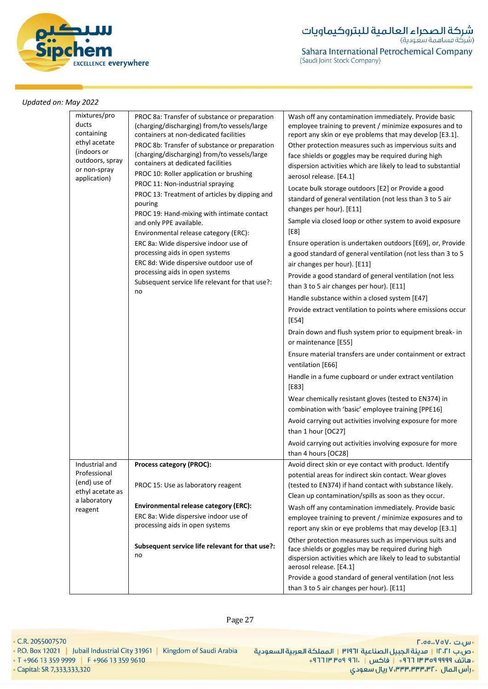

| report any skin or eye problems that may develop [E3.1]<br>Other protection measures such as impervious suits and<br>face shields or goggles may be required during high<br>dispersion activities which are likely to lead to substantial<br>Provide a good standard of general ventilation (not less |
|-------------------------------------------------------------------------------------------------------------------------------------------------------------------------------------------------------------------------------------------------------------------------------------------------------|
|                                                                                                                                                                                                                                                                                                       |
| employee training to prevent / minimize exposures and to                                                                                                                                                                                                                                              |
| Clean up contamination/spills as soon as they occur.<br>Wash off any contamination immediately. Provide basic                                                                                                                                                                                         |
| (tested to EN374) if hand contact with substance likely.                                                                                                                                                                                                                                              |
| Avoid direct skin or eye contact with product. Identify<br>potential areas for indirect skin contact. Wear gloves                                                                                                                                                                                     |
| Avoid carrying out activities involving exposure for more                                                                                                                                                                                                                                             |
|                                                                                                                                                                                                                                                                                                       |
| combination with 'basic' employee training [PPE16]<br>Avoid carrying out activities involving exposure for more                                                                                                                                                                                       |
| Wear chemically resistant gloves (tested to EN374) in                                                                                                                                                                                                                                                 |
| Handle in a fume cupboard or under extract ventilation                                                                                                                                                                                                                                                |
| Ensure material transfers are under containment or extract                                                                                                                                                                                                                                            |
| Drain down and flush system prior to equipment break- in                                                                                                                                                                                                                                              |
|                                                                                                                                                                                                                                                                                                       |
| Handle substance within a closed system [E47]<br>Provide extract ventilation to points where emissions occur                                                                                                                                                                                          |
|                                                                                                                                                                                                                                                                                                       |
| Provide a good standard of general ventilation (not less                                                                                                                                                                                                                                              |
| a good standard of general ventilation (not less than 3 to 5                                                                                                                                                                                                                                          |
| Ensure operation is undertaken outdoors [E69], or, Provide                                                                                                                                                                                                                                            |
| Sample via closed loop or other system to avoid exposure                                                                                                                                                                                                                                              |
|                                                                                                                                                                                                                                                                                                       |
| standard of general ventilation (not less than 3 to 5 air                                                                                                                                                                                                                                             |
| Locate bulk storage outdoors [E2] or Provide a good                                                                                                                                                                                                                                                   |
| dispersion activities which are likely to lead to substantial                                                                                                                                                                                                                                         |
| face shields or goggles may be required during high                                                                                                                                                                                                                                                   |
| report any skin or eye problems that may develop [E3.1].<br>Other protection measures such as impervious suits and                                                                                                                                                                                    |
| Wash off any contamination immediately. Provide basic<br>employee training to prevent / minimize exposures and to                                                                                                                                                                                     |
|                                                                                                                                                                                                                                                                                                       |

• C.R. 2055007570

• T +966 13 359 9999 | F +966 13 359 9610

• Capital: SR 7,333,333,320